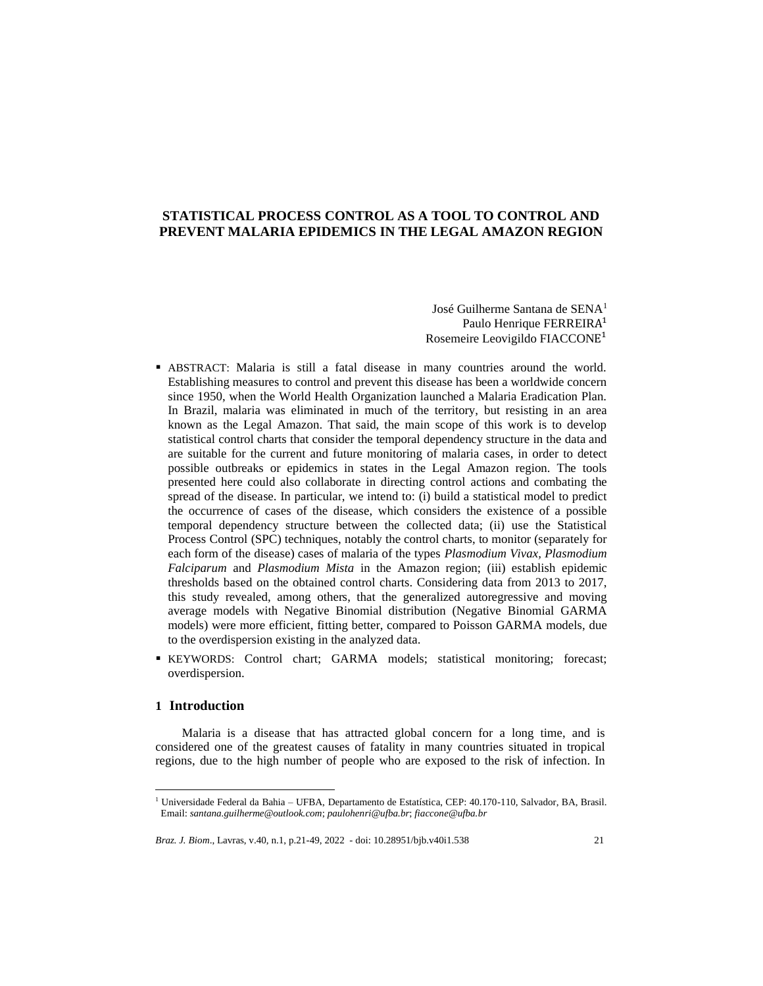## **STATISTICAL PROCESS CONTROL AS A TOOL TO CONTROL AND PREVENT MALARIA EPIDEMICS IN THE LEGAL AMAZON REGION**

José Guilherme Santana de SENA<sup>1</sup> Paulo Henrique FERREIRA<sup>1</sup> Rosemeire Leovigildo FIACCONE<sup>1</sup>

- ABSTRACT: Malaria is still a fatal disease in many countries around the world. Establishing measures to control and prevent this disease has been a worldwide concern since 1950, when the World Health Organization launched a Malaria Eradication Plan. In Brazil, malaria was eliminated in much of the territory, but resisting in an area known as the Legal Amazon. That said, the main scope of this work is to develop statistical control charts that consider the temporal dependency structure in the data and are suitable for the current and future monitoring of malaria cases, in order to detect possible outbreaks or epidemics in states in the Legal Amazon region. The tools presented here could also collaborate in directing control actions and combating the spread of the disease. In particular, we intend to: (i) build a statistical model to predict the occurrence of cases of the disease, which considers the existence of a possible temporal dependency structure between the collected data; (ii) use the Statistical Process Control (SPC) techniques, notably the control charts, to monitor (separately for each form of the disease) cases of malaria of the types *Plasmodium Vivax, Plasmodium Falciparum* and *Plasmodium Mista* in the Amazon region; (iii) establish epidemic thresholds based on the obtained control charts. Considering data from 2013 to 2017, this study revealed, among others, that the generalized autoregressive and moving average models with Negative Binomial distribution (Negative Binomial GARMA models) were more efficient, fitting better, compared to Poisson GARMA models, due to the overdispersion existing in the analyzed data.
- KEYWORDS: Control chart; GARMA models; statistical monitoring; forecast; overdispersion.

## **1 Introduction**

Malaria is a disease that has attracted global concern for a long time, and is considered one of the greatest causes of fatality in many countries situated in tropical regions, due to the high number of people who are exposed to the risk of infection. In

<sup>1</sup> Universidade Federal da Bahia – UFBA, Departamento de Estatística, CEP: 40.170-110, Salvador, BA, Brasil. Email: *[santana.guilherme@outlook.com](mailto:santana.guilherme@outlook.com)*; *[paulohenri@ufba.br](mailto:paulohenri@ufba.br)*; *[fiaccone@ufba.br](mailto:fiaccone@ufba.br)*

*Braz. J. Biom.*, Lavras, v.40, n.1, p.21-49, 2022 - doi: 10.28951/bjb.v40i1.538 21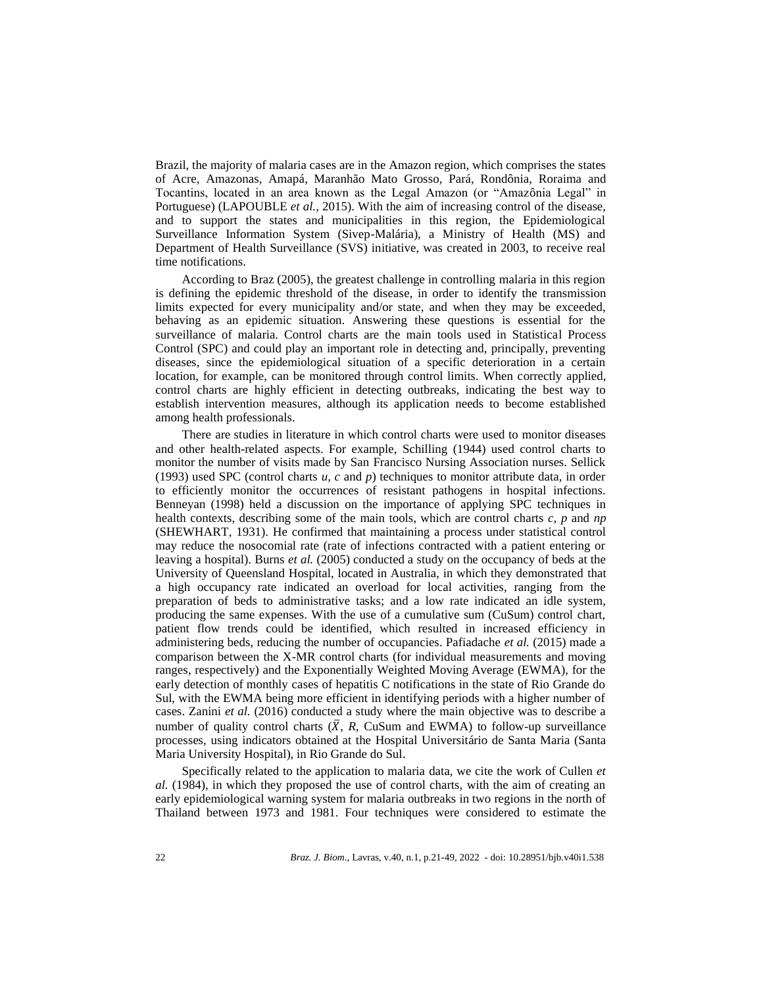Brazil, the majority of malaria cases are in the Amazon region, which comprises the states of Acre, Amazonas, Amapá, Maranhão Mato Grosso, Pará, Rondônia, Roraima and Tocantins, located in an area known as the Legal Amazon (or "Amazônia Legal" in Portuguese) (LAPOUBLE *et al.*, 2015). With the aim of increasing control of the disease, and to support the states and municipalities in this region, the Epidemiological Surveillance Information System (Sivep-Malária), a Ministry of Health (MS) and Department of Health Surveillance (SVS) initiative, was created in 2003, to receive real time notifications.

According to Braz (2005), the greatest challenge in controlling malaria in this region is defining the epidemic threshold of the disease, in order to identify the transmission limits expected for every municipality and/or state, and when they may be exceeded, behaving as an epidemic situation. Answering these questions is essential for the surveillance of malaria. Control charts are the main tools used in Statistical Process Control (SPC) and could play an important role in detecting and, principally, preventing diseases, since the epidemiological situation of a specific deterioration in a certain location, for example, can be monitored through control limits. When correctly applied, control charts are highly efficient in detecting outbreaks, indicating the best way to establish intervention measures, although its application needs to become established among health professionals.

There are studies in literature in which control charts were used to monitor diseases and other health-related aspects. For example, Schilling (1944) used control charts to monitor the number of visits made by San Francisco Nursing Association nurses. Sellick (1993) used SPC (control charts *u, c* and *p*) techniques to monitor attribute data, in order to efficiently monitor the occurrences of resistant pathogens in hospital infections. Benneyan (1998) held a discussion on the importance of applying SPC techniques in health contexts, describing some of the main tools, which are control charts *c, p* and *np* (SHEWHART, 1931). He confirmed that maintaining a process under statistical control may reduce the nosocomial rate (rate of infections contracted with a patient entering or leaving a hospital). Burns *et al.* (2005) conducted a study on the occupancy of beds at the University of Queensland Hospital, located in Australia, in which they demonstrated that a high occupancy rate indicated an overload for local activities, ranging from the preparation of beds to administrative tasks; and a low rate indicated an idle system, producing the same expenses. With the use of a cumulative sum (CuSum) control chart, patient flow trends could be identified, which resulted in increased efficiency in administering beds, reducing the number of occupancies. Pafiadache *et al.* (2015) made a comparison between the X-MR control charts (for individual measurements and moving ranges, respectively) and the Exponentially Weighted Moving Average (EWMA), for the early detection of monthly cases of hepatitis C notifications in the state of Rio Grande do Sul, with the EWMA being more efficient in identifying periods with a higher number of cases. Zanini *et al.* (2016) conducted a study where the main objective was to describe a number of quality control charts  $(\overline{X}, R, C \cup N)$  and EWMA) to follow-up surveillance processes, using indicators obtained at the Hospital Universitário de Santa Maria (Santa Maria University Hospital), in Rio Grande do Sul.

Specifically related to the application to malaria data, we cite the work of Cullen *et al.* (1984), in which they proposed the use of control charts, with the aim of creating an early epidemiological warning system for malaria outbreaks in two regions in the north of Thailand between 1973 and 1981. Four techniques were considered to estimate the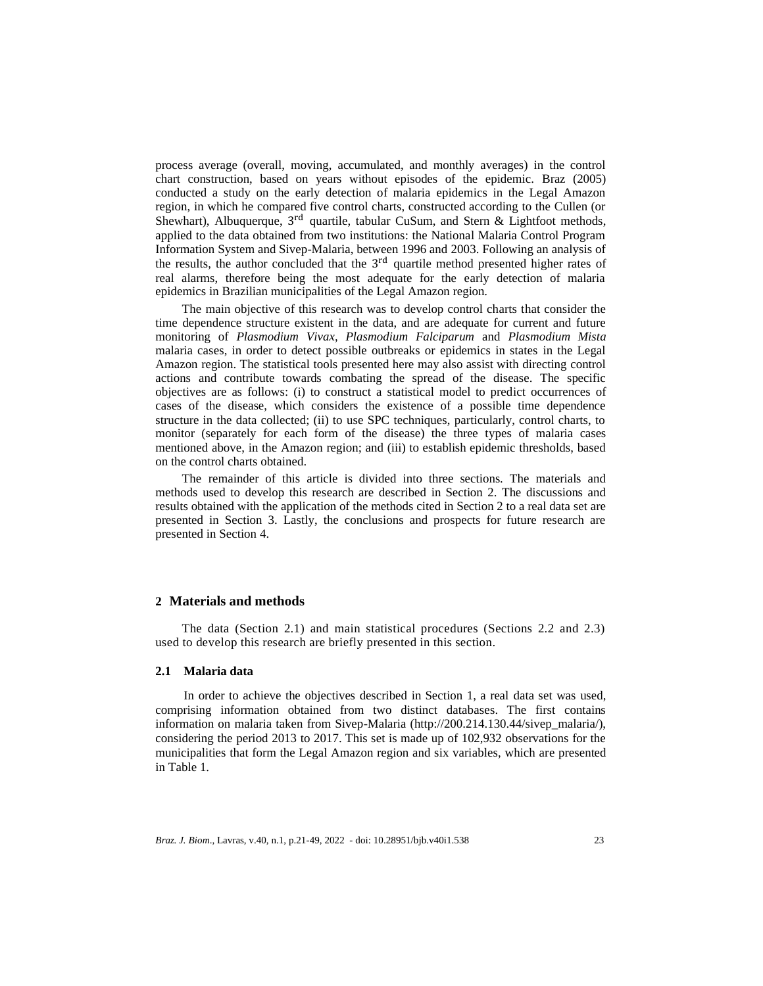process average (overall, moving, accumulated, and monthly averages) in the control chart construction, based on years without episodes of the epidemic. Braz (2005) conducted a study on the early detection of malaria epidemics in the Legal Amazon region, in which he compared five control charts, constructed according to the Cullen (or Shewhart), Albuquerque,  $3<sup>rd</sup>$  quartile, tabular CuSum, and Stern & Lightfoot methods, applied to the data obtained from two institutions: the National Malaria Control Program Information System and Sivep-Malaria, between 1996 and 2003. Following an analysis of the results, the author concluded that the 3<sup>rd</sup> quartile method presented higher rates of real alarms, therefore being the most adequate for the early detection of malaria epidemics in Brazilian municipalities of the Legal Amazon region.

The main objective of this research was to develop control charts that consider the time dependence structure existent in the data, and are adequate for current and future monitoring of *Plasmodium Vivax, Plasmodium Falciparum* and *Plasmodium Mista* malaria cases, in order to detect possible outbreaks or epidemics in states in the Legal Amazon region. The statistical tools presented here may also assist with directing control actions and contribute towards combating the spread of the disease. The specific objectives are as follows: (i) to construct a statistical model to predict occurrences of cases of the disease, which considers the existence of a possible time dependence structure in the data collected; (ii) to use SPC techniques, particularly, control charts, to monitor (separately for each form of the disease) the three types of malaria cases mentioned above, in the Amazon region; and (iii) to establish epidemic thresholds, based on the control charts obtained.

The remainder of this article is divided into three sections. The materials and methods used to develop this research are described in Section 2. The discussions and results obtained with the application of the methods cited in Section 2 to a real data set are presented in Section 3. Lastly, the conclusions and prospects for future research are presented in Section 4.

## **2 Materials and methods**

The data (Section 2.1) and main statistical procedures (Sections 2.2 and 2.3) used to develop this research are briefly presented in this section.

## **2.1 Malaria data**

In order to achieve the objectives described in Section 1, a real data set was used, comprising information obtained from two distinct databases. The first contains information on malaria taken from Sivep-Malaria [\(http://200.214.130.44/sivep\\_malaria/\),](http://200.214.130.44/sivep_malaria/)) considering the period 2013 to 2017. This set is made up of 102,932 observations for the municipalities that form the Legal Amazon region and six variables, which are presented in Table 1.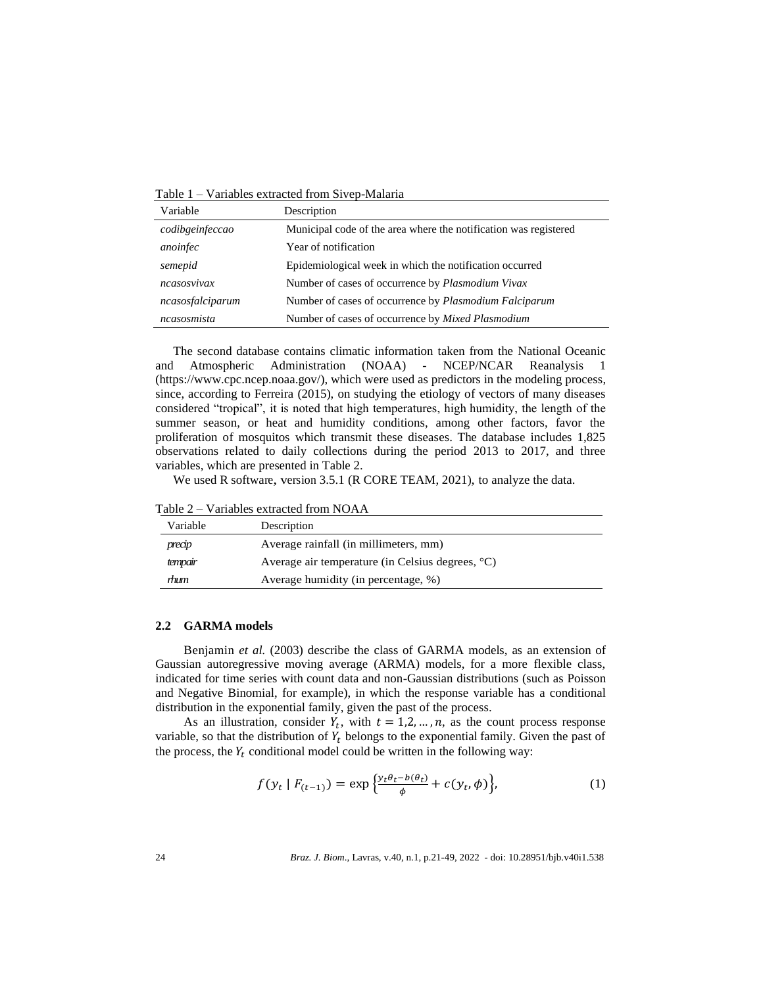Table 1 – Variables extracted from Sivep-Malaria

| Variable         | Description                                                      |
|------------------|------------------------------------------------------------------|
| codibgeinfeccao  | Municipal code of the area where the notification was registered |
| anoinfec         | Year of notification                                             |
| semepid          | Epidemiological week in which the notification occurred          |
| ncasosvivax      | Number of cases of occurrence by <i>Plasmodium Vivax</i>         |
| ncasosfalciparum | Number of cases of occurrence by Plasmodium Falciparum           |
| ncasosmista      | Number of cases of occurrence by <i>Mixed Plasmodium</i>         |

The second database contains climatic information taken from the National Oceanic and Atmospheric Administration (NOAA) - NCEP/NCAR Reanalysis 1 [\(https://www.cpc.ncep.noaa.gov/\)](http://www.cpc.ncep.noaa.gov/)), which were used as predictors in the modeling process, since, according to Ferreira (2015), on studying the etiology of vectors of many diseases considered "tropical", it is noted that high temperatures, high humidity, the length of the summer season, or heat and humidity conditions, among other factors, favor the proliferation of mosquitos which transmit these diseases. The database includes 1,825 observations related to daily collections during the period 2013 to 2017, and three variables, which are presented in Table 2.

We used R software, version 3.5.1 (R CORE TEAM, 2021), to analyze the data.

Table 2 – Variables extracted from NOAA

| Variable | Description                                      |
|----------|--------------------------------------------------|
| precip   | Average rainfall (in millimeters, mm)            |
| tempair  | Average air temperature (in Celsius degrees, °C) |
| rhum     | Average humidity (in percentage, %)              |

#### **2.2 GARMA models**

Benjamin *et al.* (2003) describe the class of GARMA models, as an extension of Gaussian autoregressive moving average (ARMA) models, for a more flexible class, indicated for time series with count data and non-Gaussian distributions (such as Poisson and Negative Binomial, for example), in which the response variable has a conditional distribution in the exponential family, given the past of the process.

As an illustration, consider  $Y_t$ , with  $t = 1, 2, ..., n$ , as the count process response variable, so that the distribution of  $Y_t$  belongs to the exponential family. Given the past of the process, the  $Y_t$  conditional model could be written in the following way:

$$
f(y_t | F_{(t-1)}) = \exp\left\{\frac{y_t \theta_t - b(\theta_t)}{\phi} + c(y_t, \phi)\right\},\tag{1}
$$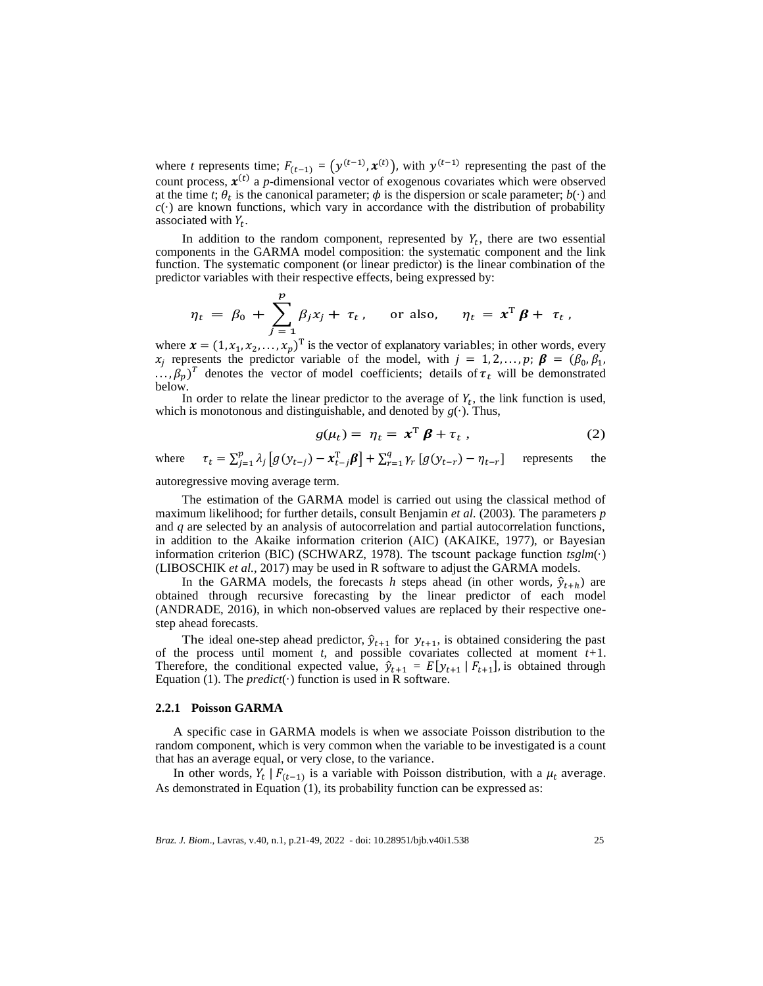where *t* represents time;  $F_{(t-1)} = (y^{(t-1)}, \mathbf{x}^{(t)})$ , with  $y^{(t-1)}$  representing the past of the count process,  $x^{(t)}$  a *p*-dimensional vector of exogenous covariates which were observed at the time *t*;  $\theta_t$  is the canonical parameter;  $\phi$  is the dispersion or scale parameter;  $b(\cdot)$  and  $c(\cdot)$  are known functions, which vary in accordance with the distribution of probability associated with  $Y_t$ .

In addition to the random component, represented by  $Y_t$ , there are two essential components in the GARMA model composition: the systematic component and the link function. The systematic component (or linear predictor) is the linear combination of the predictor variables with their respective effects, being expressed by:

$$
\eta_t = \beta_0 + \sum_{j=1}^p \beta_j x_j + \tau_t, \quad \text{or also,} \quad \eta_t = x^T \beta + \tau_t,
$$

where  $\mathbf{x} = (1, x_1, x_2, ..., x_p)^\text{T}$  is the vector of explanatory variables; in other words, every  $x_j$  represents the predictor variable of the model, with  $j = 1, 2, ..., p; \beta = (\beta_0, \beta_1, \beta_2)$  $\ldots$ ,  $\beta_p$ )<sup>T</sup> denotes the vector of model coefficients; details of  $\tau_t$  will be demonstrated below.

In order to relate the linear predictor to the average of  $Y_t$ , the link function is used, which is monotonous and distinguishable, and denoted by  $g(\cdot)$ . Thus,

$$
g(\mu_t) = \eta_t = \mathbf{x}^{\mathrm{T}} \boldsymbol{\beta} + \tau_t , \qquad (2)
$$

where  $\tau_t = \sum_{j=1}^p \lambda_j$  $\sum_{j=1}^{p} \lambda_j \left[ g(y_{t-j}) - x_{t-j}^{\mathrm{T}} \beta \right] + \sum_{r=1}^{q} \gamma_r \left[ g(y_{t-r}) - \eta_{t-r} \right]$ represents the

autoregressive moving average term.

The estimation of the GARMA model is carried out using the classical method of maximum likelihood; for further details, consult Benjamin *et al.* (2003). The parameters *p* and *q* are selected by an analysis of autocorrelation and partial autocorrelation functions, in addition to the Akaike information criterion (AIC) (AKAIKE, 1977), or Bayesian information criterion (BIC) (SCHWARZ, 1978). The tscount package function *tsglm*(·) (LIBOSCHIK *et al.*, 2017) may be used in R software to adjust the GARMA models.

In the GARMA models, the forecasts *h* steps ahead (in other words,  $\hat{y}_{t+h}$ ) are obtained through recursive forecasting by the linear predictor of each model (ANDRADE, 2016), in which non-observed values are replaced by their respective onestep ahead forecasts.

The ideal one-step ahead predictor,  $\hat{y}_{t+1}$  for  $y_{t+1}$ , is obtained considering the past of the process until moment *t*, and possible covariates collected at moment *t+*1. Therefore, the conditional expected value,  $\hat{y}_{t+1} = E[y_{t+1} | F_{t+1}]$ , is obtained through Equation (1). The *predict*( $\cdot$ ) function is used in R software.

#### **2.2.1 Poisson GARMA**

A specific case in GARMA models is when we associate Poisson distribution to the random component, which is very common when the variable to be investigated is a count that has an average equal, or very close, to the variance.

In other words,  $Y_t | F_{(t-1)}$  is a variable with Poisson distribution, with a  $\mu_t$  average. As demonstrated in Equation (1), its probability function can be expressed as: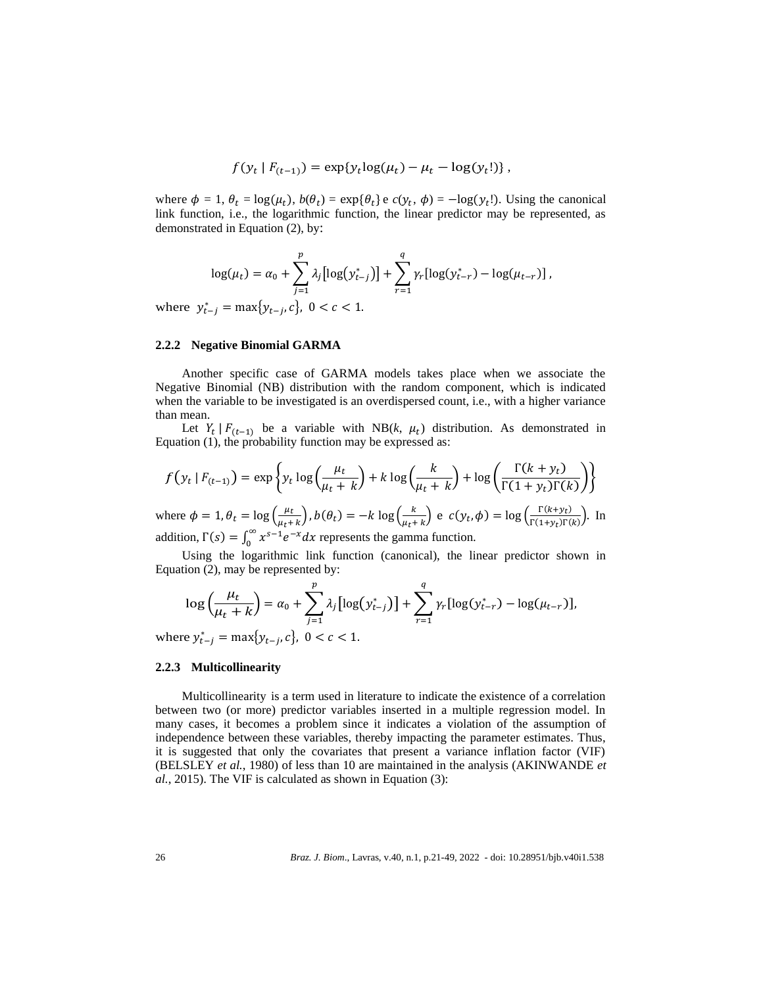$$
f(y_t | F_{(t-1)}) = \exp\{y_t \log(\mu_t) - \mu_t - \log(y_t!)\},
$$

where  $\phi = 1$ ,  $\theta_t = \log(\mu_t)$ ,  $b(\theta_t) = \exp\{\theta_t\}$  e  $c(y_t, \phi) = -\log(y_t!)$ . Using the canonical link function, i.e., the logarithmic function, the linear predictor may be represented, as demonstrated in Equation (2), by:

$$
\log(\mu_t) = \alpha_0 + \sum_{j=1}^p \lambda_j [\log(y_{t-j}^*)] + \sum_{r=1}^q \gamma_r [\log(y_{t-r}^*) - \log(\mu_{t-r})],
$$

where  $y_{t-j}^* = \max\{y_{t-j}, c\}$ ,  $0 < c < 1$ .

#### **2.2.2 Negative Binomial GARMA**

Another specific case of GARMA models takes place when we associate the Negative Binomial (NB) distribution with the random component, which is indicated when the variable to be investigated is an overdispersed count, i.e., with a higher variance than mean.

Let  $Y_t \mid F_{(t-1)}$  be a variable with NB(k,  $\mu_t$ ) distribution. As demonstrated in Equation (1), the probability function may be expressed as:

$$
f(y_t \mid F_{(t-1)}) = \exp\left\{y_t \log\left(\frac{\mu_t}{\mu_t + k}\right) + k \log\left(\frac{k}{\mu_t + k}\right) + \log\left(\frac{\Gamma(k + y_t)}{\Gamma(1 + y_t)\Gamma(k)}\right)\right\}
$$

where  $\phi = 1$ ,  $\theta_t = \log \left( \frac{\mu_t}{\mu_t + \mu_t} \right)$  $\left(\frac{\mu_t}{\mu_t + k}\right)$ ,  $b(\theta_t) = -k \log \left(\frac{k}{\mu_t + k}\right)$  $\frac{k}{\mu_t + k}$  e  $c(y_t, \phi) = \log \left( \frac{\Gamma(k + y_t)}{\Gamma(1 + y_t)\Gamma(k)} \right)$  $\frac{\Gamma(\kappa+y_t)}{\Gamma(1+y_t)\Gamma(k)}$ ). In addition,  $\Gamma(s) = \int_0^\infty x^{s-1} e^{-x} dx$  represents the gamma function.

Using the logarithmic link function (canonical), the linear predictor shown in Equation (2), may be represented by:

$$
\log\left(\frac{\mu_t}{\mu_t + k}\right) = \alpha_0 + \sum_{j=1}^p \lambda_j \left[\log(y_{t-j}^*)\right] + \sum_{r=1}^q \gamma_r \left[\log(y_{t-r}^*) - \log(\mu_{t-r})\right],
$$

where  $y_{t-j}^* = \max\{y_{t-j}, c\}$ ,  $0 < c < 1$ .

## **2.2.3 Multicollinearity**

Multicollinearity is a term used in literature to indicate the existence of a correlation between two (or more) predictor variables inserted in a multiple regression model. In many cases, it becomes a problem since it indicates a violation of the assumption of independence between these variables, thereby impacting the parameter estimates. Thus, it is suggested that only the covariates that present a variance inflation factor (VIF) (BELSLEY *et al.*, 1980) of less than 10 are maintained in the analysis (AKINWANDE *et al.*, 2015). The VIF is calculated as shown in Equation (3):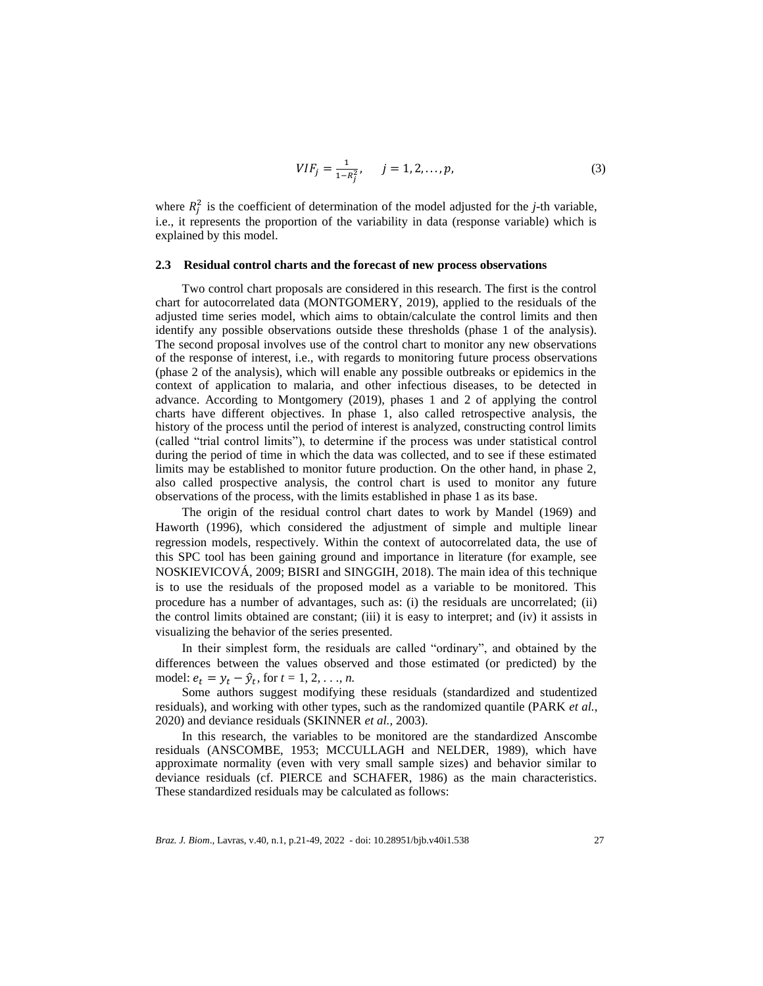$$
VIF_j = \frac{1}{1 - R_j^2}, \qquad j = 1, 2, \dots, p,
$$
\n(3)

where  $R_j^2$  is the coefficient of determination of the model adjusted for the *j*-th variable, i.e., it represents the proportion of the variability in data (response variable) which is explained by this model.

#### **2.3 Residual control charts and the forecast of new process observations**

Two control chart proposals are considered in this research. The first is the control chart for autocorrelated data (MONTGOMERY, 2019), applied to the residuals of the adjusted time series model, which aims to obtain/calculate the control limits and then identify any possible observations outside these thresholds (phase 1 of the analysis). The second proposal involves use of the control chart to monitor any new observations of the response of interest, i.e., with regards to monitoring future process observations (phase 2 of the analysis), which will enable any possible outbreaks or epidemics in the context of application to malaria, and other infectious diseases, to be detected in advance. According to Montgomery (2019), phases 1 and 2 of applying the control charts have different objectives. In phase 1, also called retrospective analysis, the history of the process until the period of interest is analyzed, constructing control limits (called "trial control limits"), to determine if the process was under statistical control during the period of time in which the data was collected, and to see if these estimated limits may be established to monitor future production. On the other hand, in phase 2, also called prospective analysis, the control chart is used to monitor any future observations of the process, with the limits established in phase 1 as its base.

The origin of the residual control chart dates to work by Mandel (1969) and Haworth (1996), which considered the adjustment of simple and multiple linear regression models, respectively. Within the context of autocorrelated data, the use of this SPC tool has been gaining ground and importance in literature (for example, see NOSKIEVICOVÁ, 2009; BISRI and SINGGIH, 2018). The main idea of this technique is to use the residuals of the proposed model as a variable to be monitored. This procedure has a number of advantages, such as: (i) the residuals are uncorrelated; (ii) the control limits obtained are constant; (iii) it is easy to interpret; and (iv) it assists in visualizing the behavior of the series presented.

In their simplest form, the residuals are called "ordinary", and obtained by the differences between the values observed and those estimated (or predicted) by the model:  $e_t = y_t - \hat{y}_t$ , for  $t = 1, 2, ..., n$ .

Some authors suggest modifying these residuals (standardized and studentized residuals), and working with other types, such as the randomized quantile (PARK *et al.*, 2020) and deviance residuals (SKINNER *et al.,* 2003).

In this research, the variables to be monitored are the standardized Anscombe residuals (ANSCOMBE, 1953; MCCULLAGH and NELDER, 1989), which have approximate normality (even with very small sample sizes) and behavior similar to deviance residuals (cf. PIERCE and SCHAFER, 1986) as the main characteristics. These standardized residuals may be calculated as follows: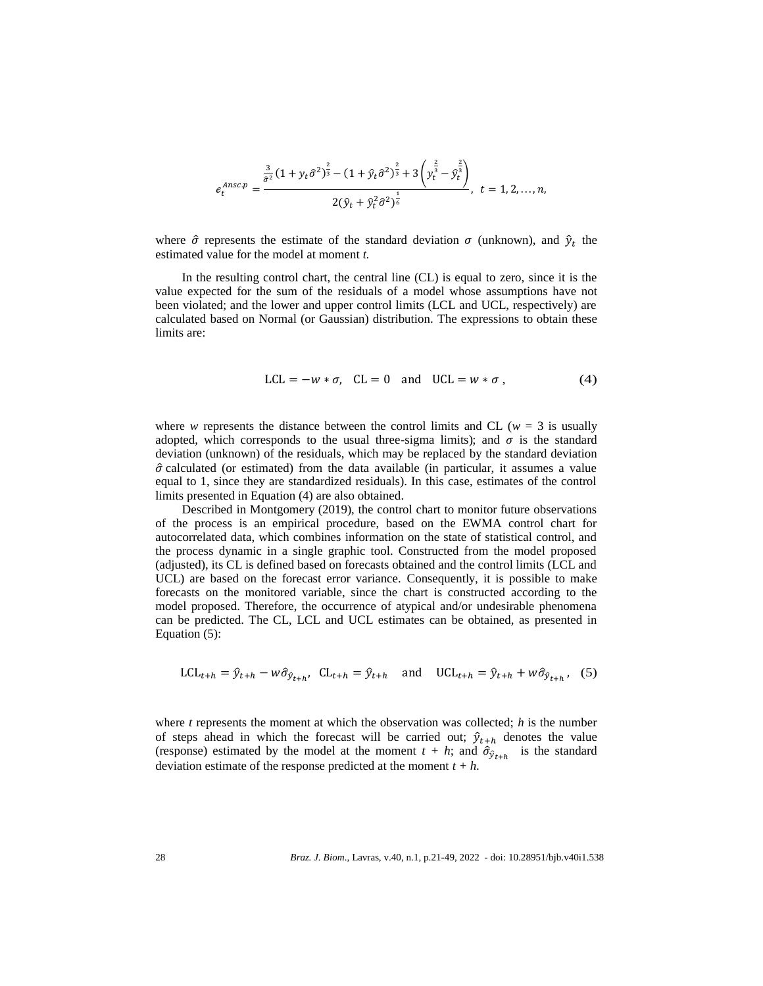$$
e_t^{Ansc,p} = \frac{\frac{3}{\hat{\sigma}^2} (1 + y_t \hat{\sigma}^2)^{\frac{2}{3}} - (1 + \hat{y}_t \hat{\sigma}^2)^{\frac{2}{3}} + 3 \left( y_t^{\frac{2}{3}} - \hat{y}_t^{\frac{2}{3}} \right)}{2 (\hat{y}_t + \hat{y}_t^2 \hat{\sigma}^2)^{\frac{1}{6}}}, \quad t = 1, 2, ..., n,
$$

where  $\hat{\sigma}$  represents the estimate of the standard deviation  $\sigma$  (unknown), and  $\hat{y}_t$  the estimated value for the model at moment *t.*

In the resulting control chart, the central line (CL) is equal to zero, since it is the value expected for the sum of the residuals of a model whose assumptions have not been violated; and the lower and upper control limits (LCL and UCL, respectively) are calculated based on Normal (or Gaussian) distribution. The expressions to obtain these limits are:

$$
LCL = -w * \sigma, \quad CL = 0 \quad \text{and} \quad UCL = w * \sigma,
$$
 (4)

where *w* represents the distance between the control limits and CL ( $w = 3$  is usually adopted, which corresponds to the usual three-sigma limits); and  $\sigma$  is the standard deviation (unknown) of the residuals, which may be replaced by the standard deviation  $\hat{\sigma}$  calculated (or estimated) from the data available (in particular, it assumes a value equal to 1, since they are standardized residuals). In this case, estimates of the control limits presented in Equation (4) are also obtained.

Described in Montgomery (2019), the control chart to monitor future observations of the process is an empirical procedure, based on the EWMA control chart for autocorrelated data, which combines information on the state of statistical control, and the process dynamic in a single graphic tool. Constructed from the model proposed (adjusted), its CL is defined based on forecasts obtained and the control limits (LCL and UCL) are based on the forecast error variance. Consequently, it is possible to make forecasts on the monitored variable, since the chart is constructed according to the model proposed. Therefore, the occurrence of atypical and/or undesirable phenomena can be predicted. The CL, LCL and UCL estimates can be obtained, as presented in Equation (5):

$$
LCL_{t+h} = \hat{y}_{t+h} - w\hat{\sigma}_{\hat{y}_{t+h}}, CL_{t+h} = \hat{y}_{t+h} \text{ and } UCL_{t+h} = \hat{y}_{t+h} + w\hat{\sigma}_{\hat{y}_{t+h}}, (5)
$$

where *t* represents the moment at which the observation was collected; *h* is the number of steps ahead in which the forecast will be carried out;  $\hat{y}_{t+h}$  denotes the value (response) estimated by the model at the moment  $t + h$ ; and  $\hat{\sigma}_{\hat{y}_{t+h}}$  is the standard deviation estimate of the response predicted at the moment  $t + h$ .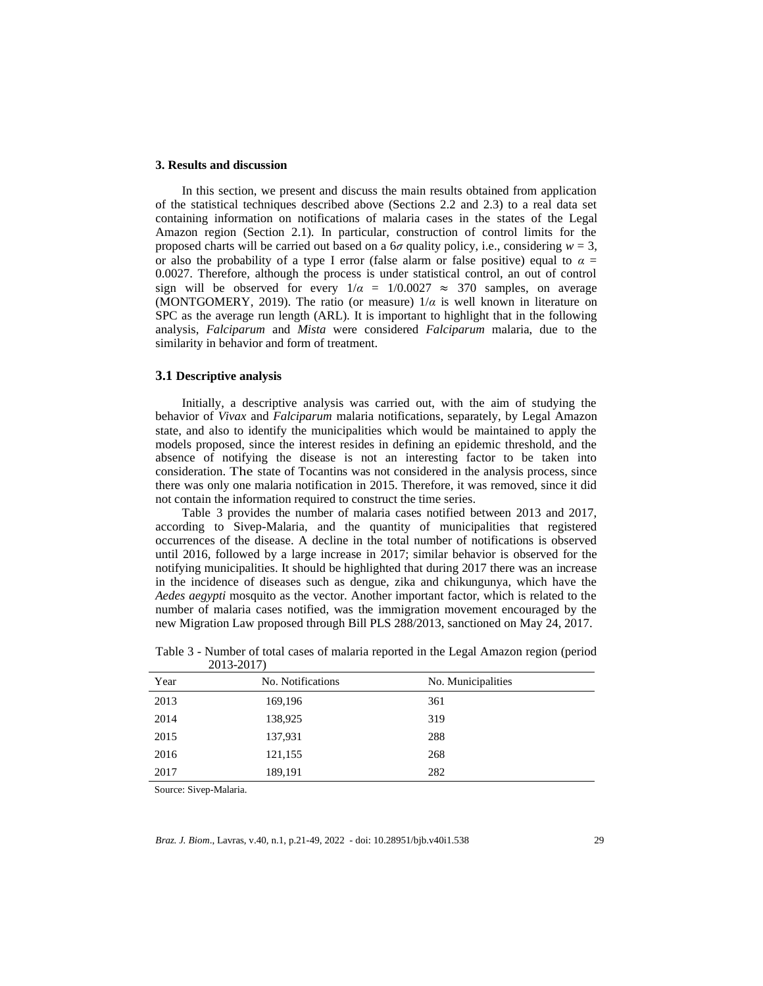## **3. Results and discussion**

In this section, we present and discuss the main results obtained from application of the statistical techniques described above (Sections 2.2 and 2.3) to a real data set containing information on notifications of malaria cases in the states of the Legal Amazon region (Section 2.1). In particular, construction of control limits for the proposed charts will be carried out based on a  $6\sigma$  quality policy, i.e., considering  $w = 3$ , or also the probability of a type I error (false alarm or false positive) equal to  $\alpha =$ 0.0027. Therefore, although the process is under statistical control, an out of control sign will be observed for every  $1/\alpha = 1/0.0027 \approx 370$  samples, on average (MONTGOMERY, 2019). The ratio (or measure)  $1/\alpha$  is well known in literature on SPC as the average run length (ARL). It is important to highlight that in the following analysis, *Falciparum* and *Mista* were considered *Falciparum* malaria, due to the similarity in behavior and form of treatment.

## **3.1 Descriptive analysis**

Initially, a descriptive analysis was carried out, with the aim of studying the behavior of *Vivax* and *Falciparum* malaria notifications, separately, by Legal Amazon state, and also to identify the municipalities which would be maintained to apply the models proposed, since the interest resides in defining an epidemic threshold, and the absence of notifying the disease is not an interesting factor to be taken into consideration. The state of Tocantins was not considered in the analysis process, since there was only one malaria notification in 2015. Therefore, it was removed, since it did not contain the information required to construct the time series.

Table 3 provides the number of malaria cases notified between 2013 and 2017, according to Sivep-Malaria, and the quantity of municipalities that registered occurrences of the disease. A decline in the total number of notifications is observed until 2016, followed by a large increase in 2017; similar behavior is observed for the notifying municipalities. It should be highlighted that during 2017 there was an increase in the incidence of diseases such as dengue, zika and chikungunya, which have the *Aedes aegypti* mosquito as the vector. Another important factor, which is related to the number of malaria cases notified, was the immigration movement encouraged by the new Migration Law proposed through Bill PLS 288/2013, sanctioned on May 24, 2017.

| Year | No. Notifications | No. Municipalities |
|------|-------------------|--------------------|
| 2013 | 169,196           | 361                |
| 2014 | 138,925           | 319                |
| 2015 | 137,931           | 288                |
| 2016 | 121,155           | 268                |
| 2017 | 189,191           | 282                |

Table 3 - Number of total cases of malaria reported in the Legal Amazon region (period 2013-2017)

Source: Sivep-Malaria.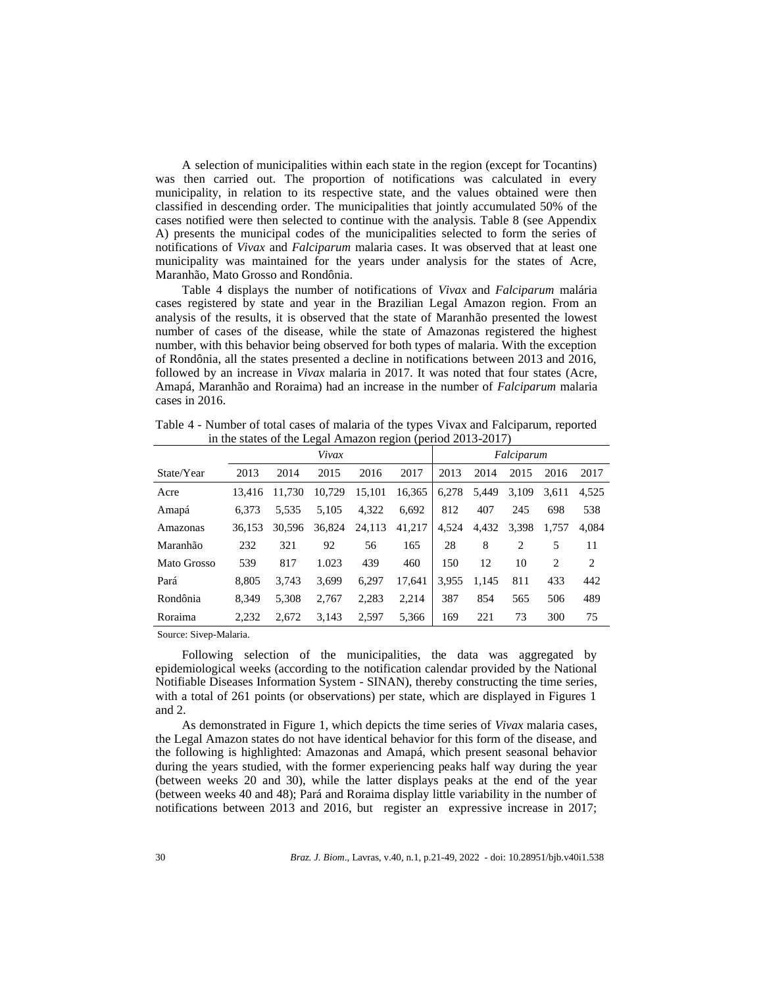A selection of municipalities within each state in the region (except for Tocantins) was then carried out. The proportion of notifications was calculated in every municipality, in relation to its respective state, and the values obtained were then classified in descending order. The municipalities that jointly accumulated 50% of the cases notified were then selected to continue with the analysis. Table 8 (see Appendix A) presents the municipal codes of the municipalities selected to form the series of notifications of *Vivax* and *Falciparum* malaria cases. It was observed that at least one municipality was maintained for the years under analysis for the states of Acre, Maranhão, Mato Grosso and Rondônia.

Table 4 displays the number of notifications of *Vivax* and *Falciparum* malária cases registered by state and year in the Brazilian Legal Amazon region. From an analysis of the results, it is observed that the state of Maranhão presented the lowest number of cases of the disease, while the state of Amazonas registered the highest number, with this behavior being observed for both types of malaria. With the exception of Rondônia, all the states presented a decline in notifications between 2013 and 2016, followed by an increase in *Vivax* malaria in 2017. It was noted that four states (Acre, Amapá, Maranhão and Roraima) had an increase in the number of *Falciparum* malaria cases in 2016.

|             | n-<br>Vivax |        |        |        |        | Falciparum |       |                |                |       |
|-------------|-------------|--------|--------|--------|--------|------------|-------|----------------|----------------|-------|
| State/Year  | 2013        | 2014   | 2015   | 2016   | 2017   | 2013       | 2014  | 2015           | 2016           | 2017  |
| Acre        | 13.416      | 11.730 | 10,729 | 15,101 | 16,365 | 6,278      | 5,449 | 3,109          | 3.611          | 4.525 |
| Amapá       | 6.373       | 5.535  | 5.105  | 4,322  | 6.692  | 812        | 407   | 245            | 698            | 538   |
| Amazonas    | 36.153      | 30.596 | 36.824 | 24,113 | 41,217 | 4,524      | 4,432 | 3,398          | 1.757          | 4.084 |
| Maranhão    | 232         | 321    | 92     | 56     | 165    | 28         | 8     | $\overline{2}$ | 5              | 11    |
| Mato Grosso | 539         | 817    | 1.023  | 439    | 460    | 150        | 12    | 10             | $\overline{c}$ | 2     |
| Pará        | 8.805       | 3.743  | 3,699  | 6,297  | 17.641 | 3.955      | 1,145 | 811            | 433            | 442   |
| Rondônia    | 8.349       | 5,308  | 2.767  | 2,283  | 2,214  | 387        | 854   | 565            | 506            | 489   |
| Roraima     | 2.232       | 2.672  | 3.143  | 2,597  | 5.366  | 169        | 221   | 73             | 300            | 75    |

Table 4 - Number of total cases of malaria of the types Vivax and Falciparum, reported in the states of the Legal Amazon region (period 2013-2017)

Source: Sivep-Malaria.

Following selection of the municipalities, the data was aggregated by epidemiological weeks (according to the notification calendar provided by the National Notifiable Diseases Information System - SINAN), thereby constructing the time series, with a total of 261 points (or observations) per state, which are displayed in Figures 1 and 2.

As demonstrated in Figure 1, which depicts the time series of *Vivax* malaria cases, the Legal Amazon states do not have identical behavior for this form of the disease, and the following is highlighted: Amazonas and Amapá, which present seasonal behavior during the years studied, with the former experiencing peaks half way during the year (between weeks 20 and 30), while the latter displays peaks at the end of the year (between weeks 40 and 48); Pará and Roraima display little variability in the number of notifications between 2013 and 2016, but register an expressive increase in 2017;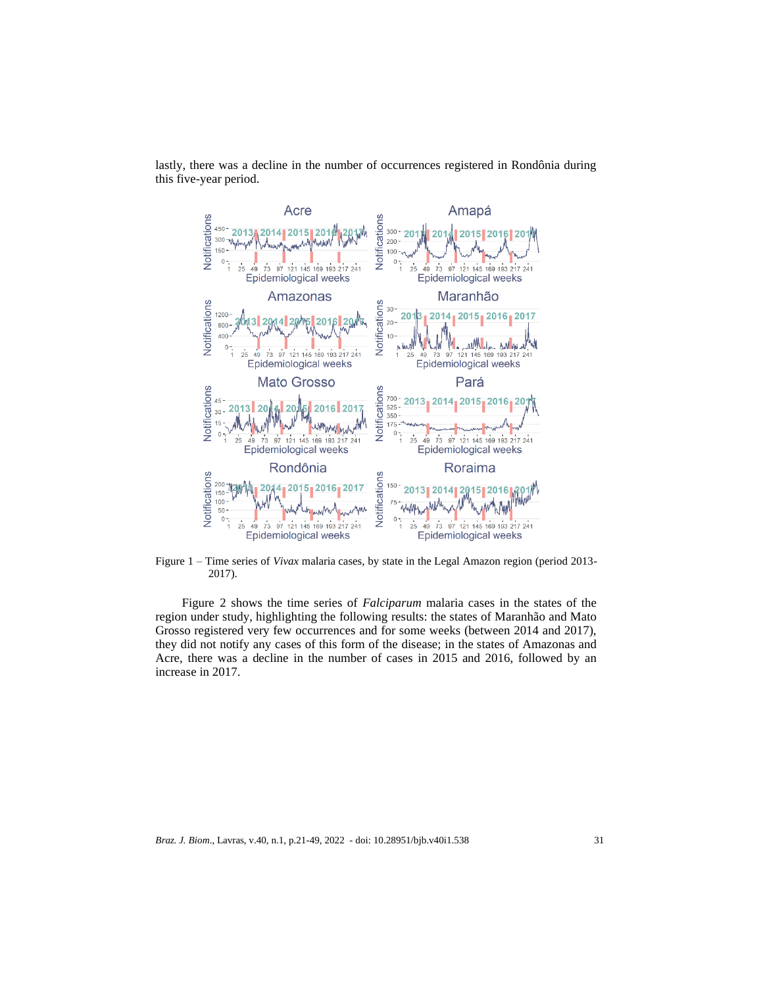lastly, there was a decline in the number of occurrences registered in Rondônia during this five-year period.



Figure 1 – Time series of *Vivax* malaria cases, by state in the Legal Amazon region (period 2013- 2017).

Figure 2 shows the time series of *Falciparum* malaria cases in the states of the region under study, highlighting the following results: the states of Maranhão and Mato Grosso registered very few occurrences and for some weeks (between 2014 and 2017), they did not notify any cases of this form of the disease; in the states of Amazonas and Acre, there was a decline in the number of cases in 2015 and 2016, followed by an increase in 2017.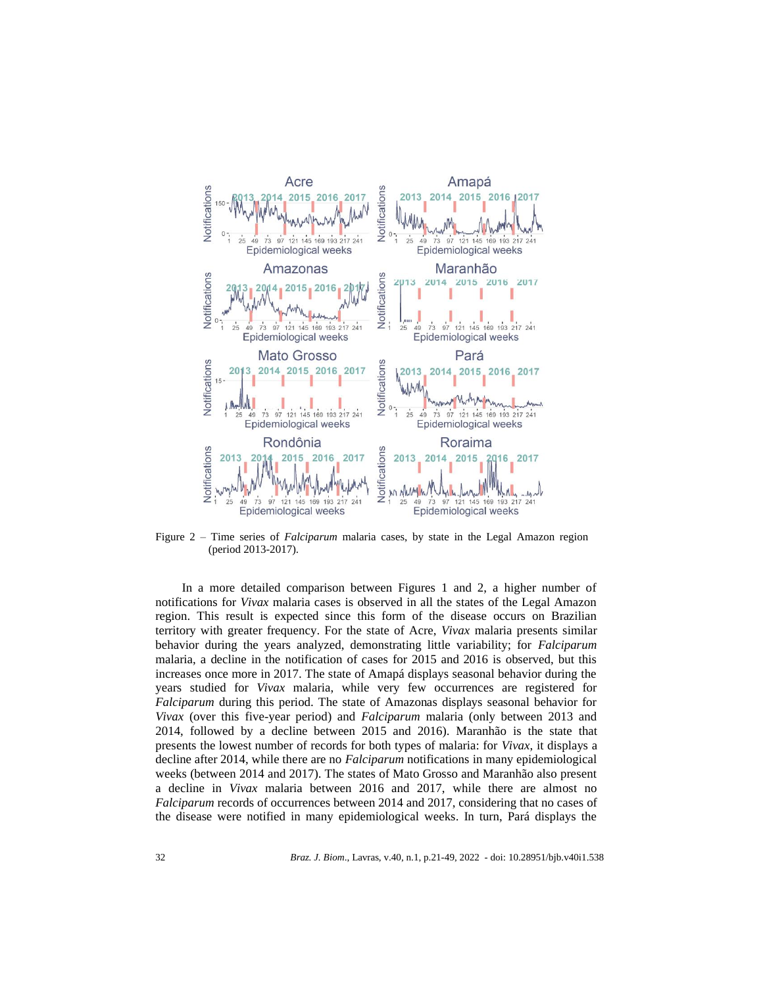

Figure 2 – Time series of *Falciparum* malaria cases, by state in the Legal Amazon region (period 2013-2017).

In a more detailed comparison between Figures 1 and 2, a higher number of notifications for *Vivax* malaria cases is observed in all the states of the Legal Amazon region. This result is expected since this form of the disease occurs on Brazilian territory with greater frequency. For the state of Acre, *Vivax* malaria presents similar behavior during the years analyzed, demonstrating little variability; for *Falciparum* malaria, a decline in the notification of cases for 2015 and 2016 is observed, but this increases once more in 2017. The state of Amapá displays seasonal behavior during the years studied for *Vivax* malaria, while very few occurrences are registered for *Falciparum* during this period. The state of Amazonas displays seasonal behavior for *Vivax* (over this five-year period) and *Falciparum* malaria (only between 2013 and 2014, followed by a decline between 2015 and 2016). Maranhão is the state that presents the lowest number of records for both types of malaria: for *Vivax*, it displays a decline after 2014, while there are no *Falciparum* notifications in many epidemiological weeks (between 2014 and 2017). The states of Mato Grosso and Maranhão also present a decline in *Vivax* malaria between 2016 and 2017, while there are almost no *Falciparum* records of occurrences between 2014 and 2017, considering that no cases of the disease were notified in many epidemiological weeks. In turn, Pará displays the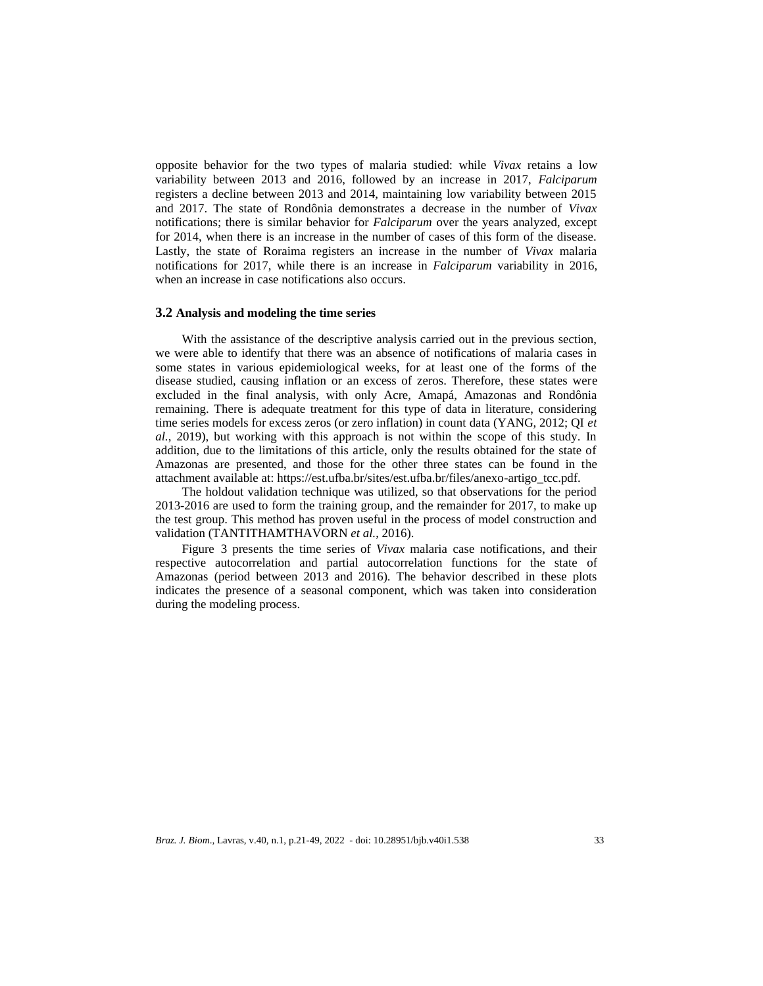opposite behavior for the two types of malaria studied: while *Vivax* retains a low variability between 2013 and 2016, followed by an increase in 2017, *Falciparum* registers a decline between 2013 and 2014, maintaining low variability between 2015 and 2017. The state of Rondônia demonstrates a decrease in the number of *Vivax* notifications; there is similar behavior for *Falciparum* over the years analyzed, except for 2014, when there is an increase in the number of cases of this form of the disease. Lastly, the state of Roraima registers an increase in the number of *Vivax* malaria notifications for 2017, while there is an increase in *Falciparum* variability in 2016, when an increase in case notifications also occurs.

#### **3.2 Analysis and modeling the time series**

With the assistance of the descriptive analysis carried out in the previous section, we were able to identify that there was an absence of notifications of malaria cases in some states in various epidemiological weeks, for at least one of the forms of the disease studied, causing inflation or an excess of zeros. Therefore, these states were excluded in the final analysis, with only Acre, Amapá, Amazonas and Rondônia remaining. There is adequate treatment for this type of data in literature, considering time series models for excess zeros (or zero inflation) in count data (YANG, 2012; QI *et al.*, 2019), but working with this approach is not within the scope of this study. In addition, due to the limitations of this article, only the results obtained for the state of Amazonas are presented, and those for the other three states can be found in the attachment available at: https://est.ufba.br/sites/est.ufba.br/files/anexo-artigo\_tcc.pdf.

The holdout validation technique was utilized, so that observations for the period 2013-2016 are used to form the training group, and the remainder for 2017, to make up the test group. This method has proven useful in the process of model construction and validation (TANTITHAMTHAVORN *et al.*, 2016).

Figure 3 presents the time series of *Vivax* malaria case notifications, and their respective autocorrelation and partial autocorrelation functions for the state of Amazonas (period between 2013 and 2016). The behavior described in these plots indicates the presence of a seasonal component, which was taken into consideration during the modeling process.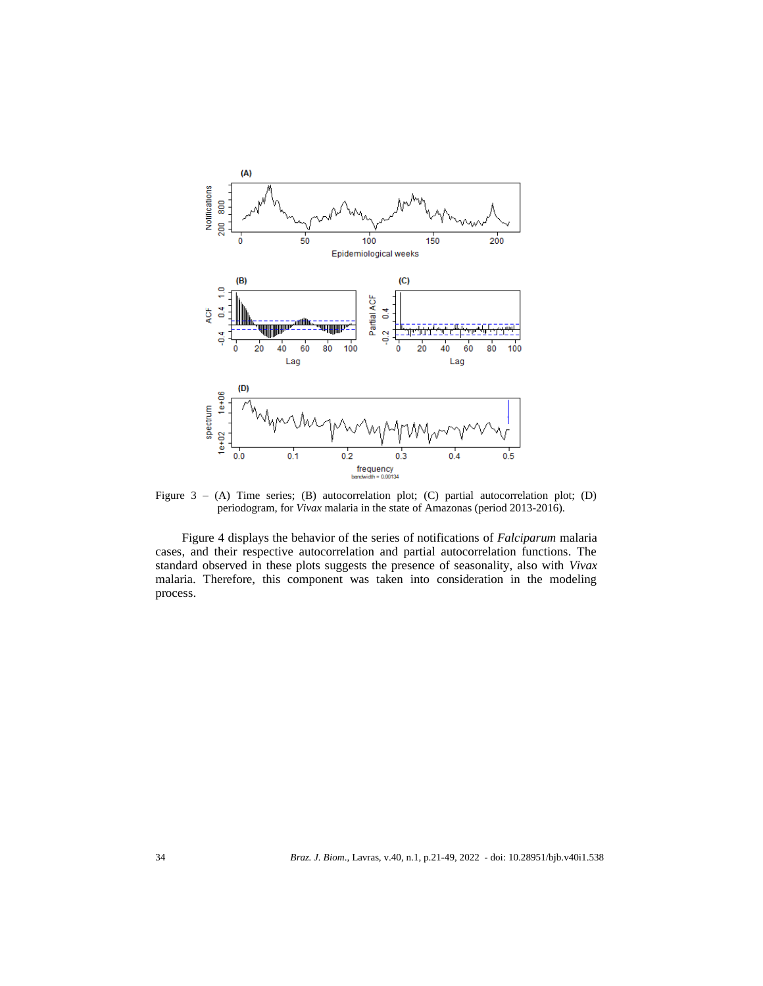

Figure 3 – (A) Time series; (B) autocorrelation plot; (C) partial autocorrelation plot; (D) periodogram, for *Vivax* malaria in the state of Amazonas (period 2013-2016).

Figure 4 displays the behavior of the series of notifications of *Falciparum* malaria cases, and their respective autocorrelation and partial autocorrelation functions. The standard observed in these plots suggests the presence of seasonality, also with *Vivax* malaria. Therefore, this component was taken into consideration in the modeling process.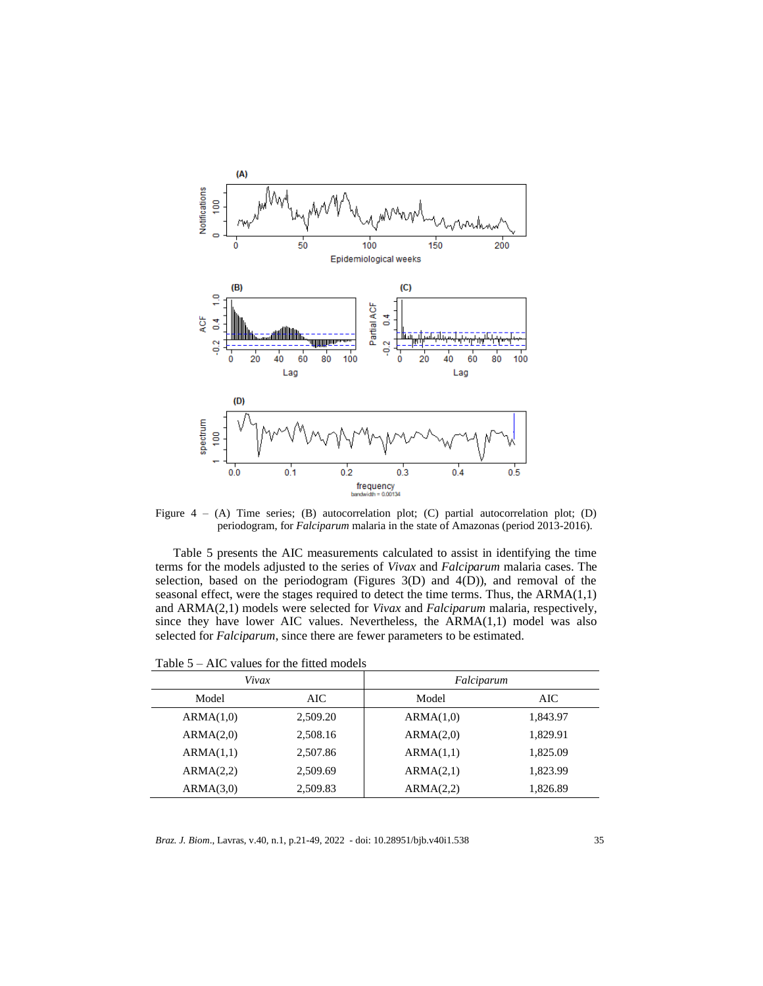

Figure  $4 - (A)$  Time series; (B) autocorrelation plot; (C) partial autocorrelation plot; (D) periodogram, for *Falciparum* malaria in the state of Amazonas (period 2013-2016).

Table 5 presents the AIC measurements calculated to assist in identifying the time terms for the models adjusted to the series of *Vivax* and *Falciparum* malaria cases. The selection, based on the periodogram (Figures  $3(D)$  and  $4(D)$ ), and removal of the seasonal effect, were the stages required to detect the time terms. Thus, the ARMA(1,1) and ARMA(2,1) models were selected for *Vivax* and *Falciparum* malaria, respectively, since they have lower AIC values. Nevertheless, the ARMA(1,1) model was also selected for *Falciparum*, since there are fewer parameters to be estimated.

| Vivax     |          | Falciparum |          |  |  |  |
|-----------|----------|------------|----------|--|--|--|
| Model     | AIC      | Model      | AIC      |  |  |  |
| ARMA(1,0) | 2,509.20 | ARMA(1,0)  | 1,843.97 |  |  |  |
| ARMA(2,0) | 2,508.16 | ARMA(2,0)  | 1.829.91 |  |  |  |
| ARMA(1,1) | 2,507.86 | ARMA(1,1)  | 1,825.09 |  |  |  |
| ARMA(2,2) | 2,509.69 | ARMA(2,1)  | 1.823.99 |  |  |  |
| ARMA(3,0) | 2,509.83 | ARMA(2,2)  | 1,826.89 |  |  |  |

Table 5 – AIC values for the fitted models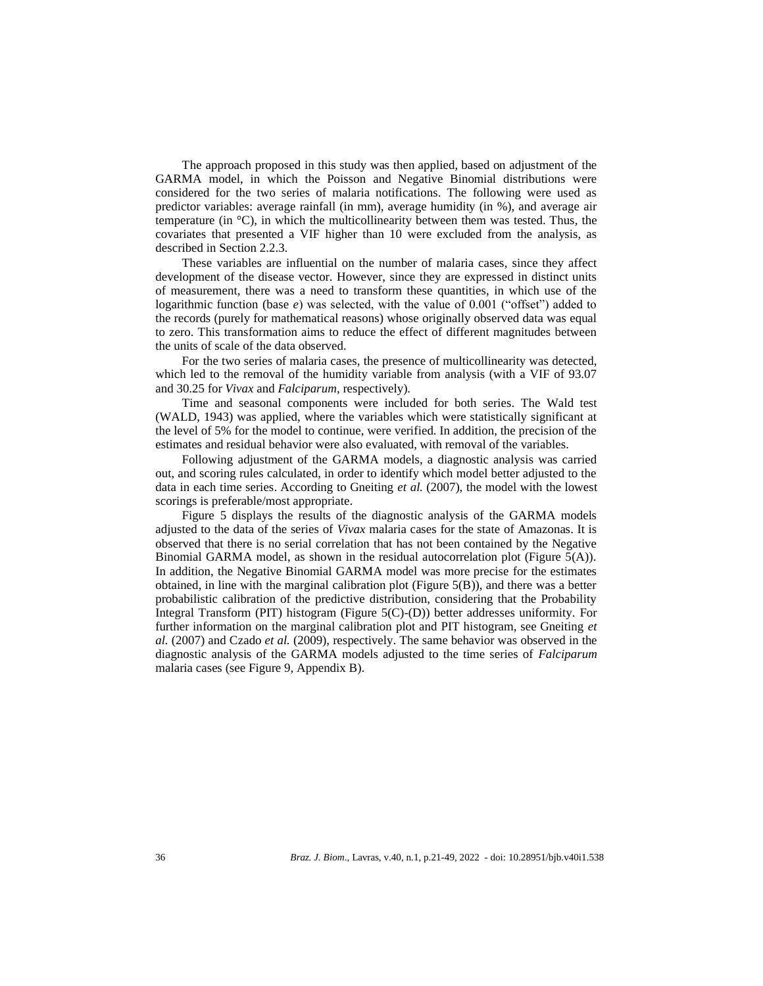The approach proposed in this study was then applied, based on adjustment of the GARMA model, in which the Poisson and Negative Binomial distributions were considered for the two series of malaria notifications. The following were used as predictor variables: average rainfall (in mm), average humidity (in %), and average air temperature (in  $\rm{^{\circ}C}$ ), in which the multicollinearity between them was tested. Thus, the covariates that presented a VIF higher than 10 were excluded from the analysis, as described in Section 2.2.3.

These variables are influential on the number of malaria cases, since they affect development of the disease vector. However, since they are expressed in distinct units of measurement, there was a need to transform these quantities, in which use of the logarithmic function (base *e*) was selected, with the value of 0.001 ("offset") added to the records (purely for mathematical reasons) whose originally observed data was equal to zero. This transformation aims to reduce the effect of different magnitudes between the units of scale of the data observed.

For the two series of malaria cases, the presence of multicollinearity was detected, which led to the removal of the humidity variable from analysis (with a VIF of 93.07 and 30.25 for *Vivax* and *Falciparum*, respectively).

Time and seasonal components were included for both series. The Wald test (WALD, 1943) was applied, where the variables which were statistically significant at the level of 5% for the model to continue, were verified. In addition, the precision of the estimates and residual behavior were also evaluated, with removal of the variables.

Following adjustment of the GARMA models, a diagnostic analysis was carried out, and scoring rules calculated, in order to identify which model better adjusted to the data in each time series. According to Gneiting *et al.* (2007), the model with the lowest scorings is preferable/most appropriate.

Figure 5 displays the results of the diagnostic analysis of the GARMA models adjusted to the data of the series of *Vivax* malaria cases for the state of Amazonas. It is observed that there is no serial correlation that has not been contained by the Negative Binomial GARMA model, as shown in the residual autocorrelation plot (Figure 5(A)). In addition, the Negative Binomial GARMA model was more precise for the estimates obtained, in line with the marginal calibration plot (Figure 5(B)), and there was a better probabilistic calibration of the predictive distribution, considering that the Probability Integral Transform (PIT) histogram (Figure 5(C)-(D)) better addresses uniformity. For further information on the marginal calibration plot and PIT histogram, see Gneiting *et al.* (2007) and Czado *et al.* (2009), respectively. The same behavior was observed in the diagnostic analysis of the GARMA models adjusted to the time series of *Falciparum* malaria cases (see Figure 9, Appendix B).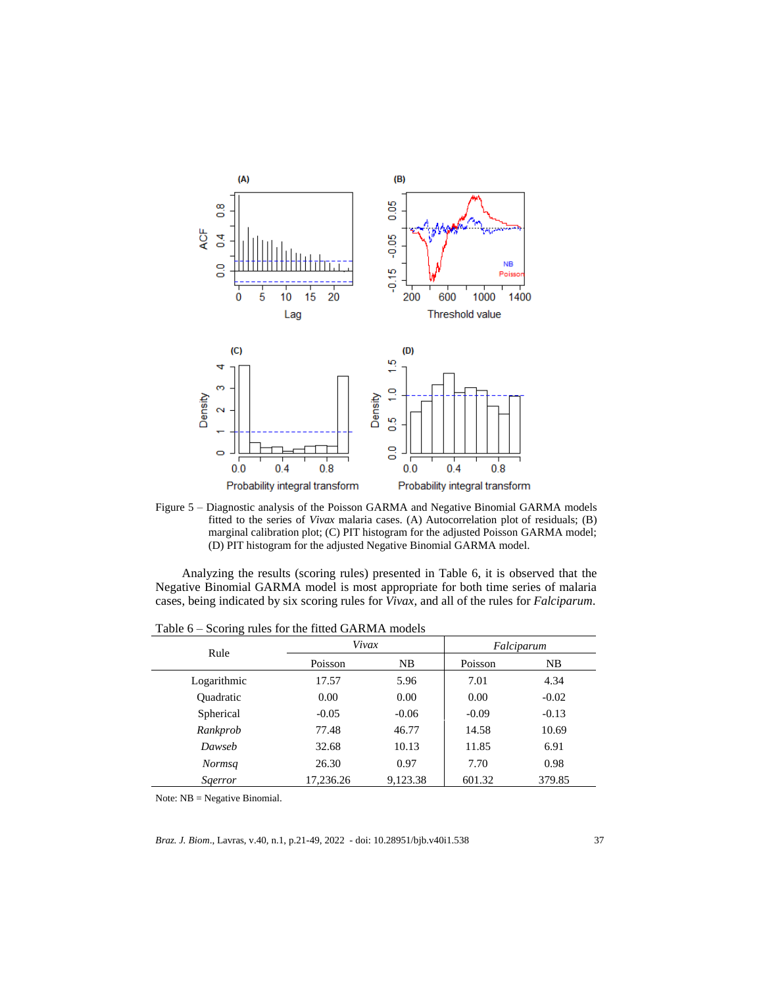

Figure 5 – Diagnostic analysis of the Poisson GARMA and Negative Binomial GARMA models fitted to the series of *Vivax* malaria cases. (A) Autocorrelation plot of residuals; (B) marginal calibration plot; (C) PIT histogram for the adjusted Poisson GARMA model; (D) PIT histogram for the adjusted Negative Binomial GARMA model.

Analyzing the results (scoring rules) presented in Table 6, it is observed that the Negative Binomial GARMA model is most appropriate for both time series of malaria cases, being indicated by six scoring rules for *Vivax*, and all of the rules for *Falciparum*.

| Rule             | Vivax     |          | Falciparum |         |  |
|------------------|-----------|----------|------------|---------|--|
|                  | Poisson   | NB.      | Poisson    | NB      |  |
| Logarithmic      | 17.57     | 5.96     | 7.01       | 4.34    |  |
| <b>Ouadratic</b> | 0.00      | 0.00     | 0.00       | $-0.02$ |  |
| Spherical        | $-0.05$   | $-0.06$  | $-0.09$    | $-0.13$ |  |
| Rankprob         | 77.48     | 46.77    | 14.58      | 10.69   |  |
| Dawseb           | 32.68     | 10.13    | 11.85      | 6.91    |  |
| <b>Normsq</b>    | 26.30     | 0.97     | 7.70       | 0.98    |  |
| <i>Sgerror</i>   | 17,236.26 | 9,123.38 | 601.32     | 379.85  |  |

Table 6 – Scoring rules for the fitted GARMA models

Note: NB = Negative Binomial.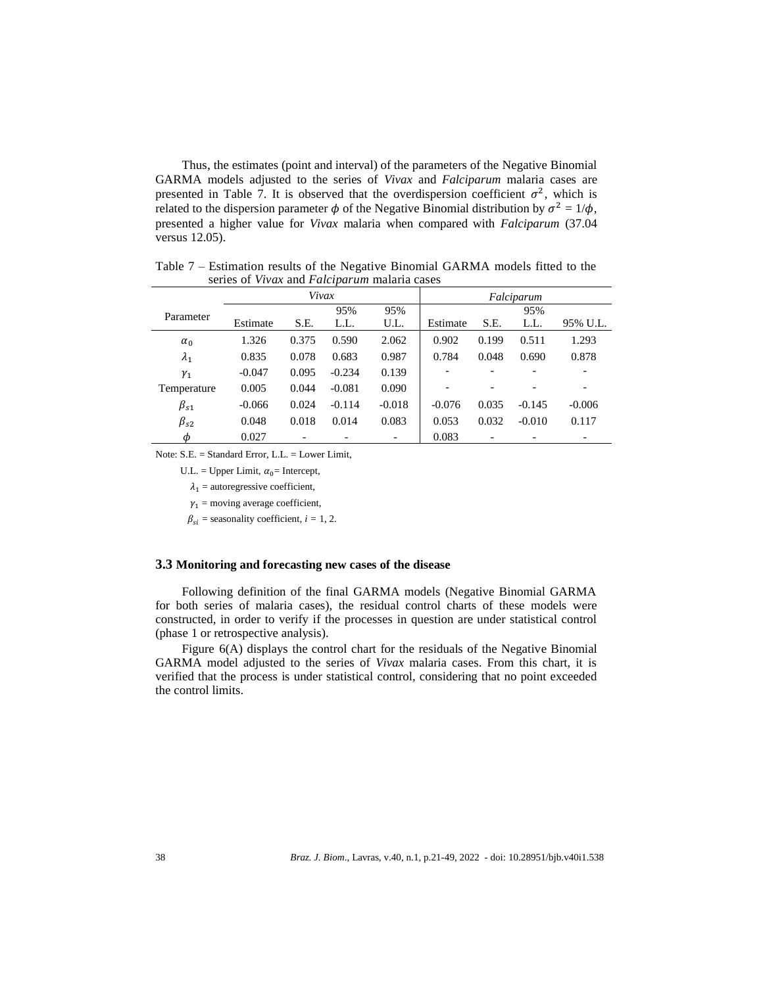Thus, the estimates (point and interval) of the parameters of the Negative Binomial GARMA models adjusted to the series of *Vivax* and *Falciparum* malaria cases are presented in Table 7. It is observed that the overdispersion coefficient  $\sigma^2$ , which is related to the dispersion parameter  $\phi$  of the Negative Binomial distribution by  $\sigma^2 = 1/\phi$ , presented a higher value for *Vivax* malaria when compared with *Falciparum* (37.04 versus 12.05).

|              |          |       |          |          | Falciparum |       |          |          |
|--------------|----------|-------|----------|----------|------------|-------|----------|----------|
| Parameter    |          |       | 95%      | 95%      |            |       | 95%      |          |
|              | Estimate | S.E.  | L.L.     | U.L.     | Estimate   | S.E.  | L.L.     | 95% U.L. |
| $\alpha_0$   | 1.326    | 0.375 | 0.590    | 2.062    | 0.902      | 0.199 | 0.511    | 1.293    |
| $\lambda_1$  | 0.835    | 0.078 | 0.683    | 0.987    | 0.784      | 0.048 | 0.690    | 0.878    |
| $\gamma_1$   | $-0.047$ | 0.095 | $-0.234$ | 0.139    |            |       |          |          |
| Temperature  | 0.005    | 0.044 | $-0.081$ | 0.090    |            |       | -        | -        |
| $\beta_{s1}$ | $-0.066$ | 0.024 | $-0.114$ | $-0.018$ | $-0.076$   | 0.035 | $-0.145$ | $-0.006$ |
| $\beta_{s2}$ | 0.048    | 0.018 | 0.014    | 0.083    | 0.053      | 0.032 | $-0.010$ | 0.117    |
| φ            | 0.027    |       |          |          | 0.083      |       |          |          |

Table 7 – Estimation results of the Negative Binomial GARMA models fitted to the series of *Vivax* and *Falciparum* malaria cases

Note: S.E. = Standard Error, L.L. = Lower Limit,

U.L. = Upper Limit,  $\alpha_0$ = Intercept,

 $\lambda_1$  = autoregressive coefficient,

 $\nu_1$  = moving average coefficient,

 $\beta_{si}$  = seasonality coefficient, *i* = 1, 2.

## **3.3 Monitoring and forecasting new cases of the disease**

Following definition of the final GARMA models (Negative Binomial GARMA for both series of malaria cases), the residual control charts of these models were constructed, in order to verify if the processes in question are under statistical control (phase 1 or retrospective analysis).

Figure 6(A) displays the control chart for the residuals of the Negative Binomial GARMA model adjusted to the series of *Vivax* malaria cases. From this chart, it is verified that the process is under statistical control, considering that no point exceeded the control limits.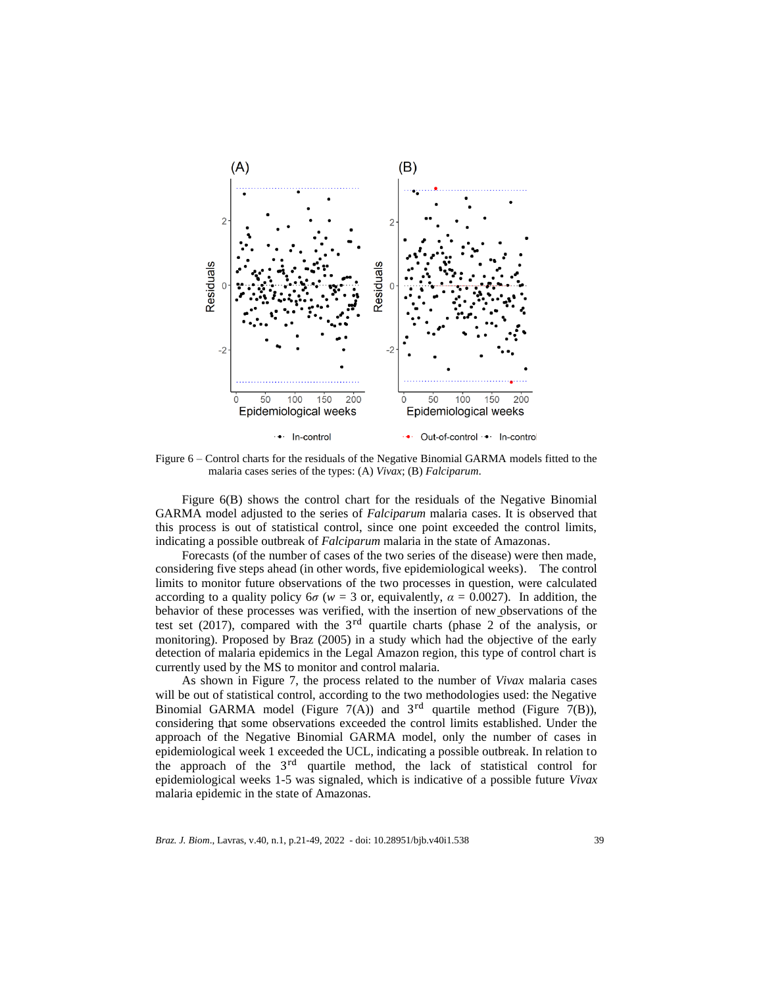

Figure 6 – Control charts for the residuals of the Negative Binomial GARMA models fitted to the malaria cases series of the types: (A) *Vivax*; (B) *Falciparum*.

Figure 6(B) shows the control chart for the residuals of the Negative Binomial GARMA model adjusted to the series of *Falciparum* malaria cases. It is observed that this process is out of statistical control, since one point exceeded the control limits, indicating a possible outbreak of *Falciparum* malaria in the state of Amazonas.

Forecasts (of the number of cases of the two series of the disease) were then made, considering five steps ahead (in other words, five epidemiological weeks). The control limits to monitor future observations of the two processes in question, were calculated according to a quality policy  $6\sigma$  ( $w = 3$  or, equivalently,  $\alpha = 0.0027$ ). In addition, the behavior of these processes was verified, with the insertion of new observations of the test set (2017), compared with the  $3<sup>rd</sup>$  quartile charts (phase 2 of the analysis, or monitoring). Proposed by Braz (2005) in a study which had the objective of the early detection of malaria epidemics in the Legal Amazon region, this type of control chart is currently used by the MS to monitor and control malaria.

As shown in Figure 7, the process related to the number of *Vivax* malaria cases will be out of statistical control, according to the two methodologies used: the Negative Binomial GARMA model (Figure  $7(A)$ ) and  $3<sup>rd</sup>$  quartile method (Figure 7(B)), considering that some observations exceeded the control limits established. Under the approach of the Negative Binomial GARMA model, only the number of cases in epidemiological week 1 exceeded the UCL, indicating a possible outbreak. In relation to the approach of the 3<sup>rd</sup> quartile method, the lack of statistical control for epidemiological weeks 1-5 was signaled, which is indicative of a possible future *Vivax* malaria epidemic in the state of Amazonas.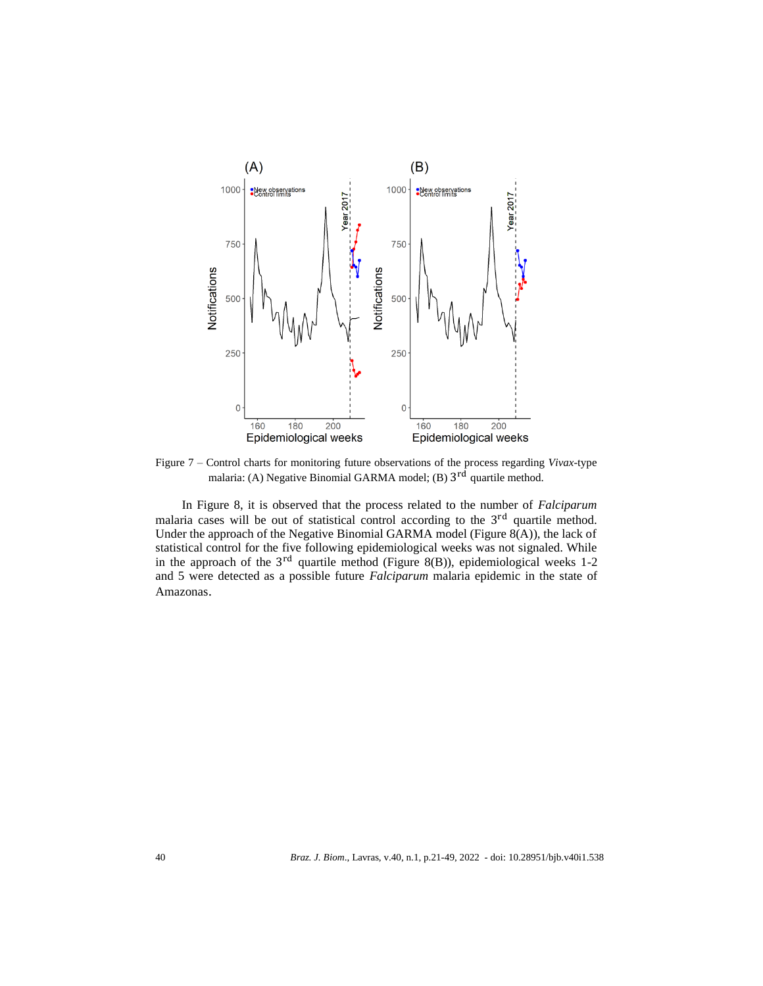

Figure 7 – Control charts for monitoring future observations of the process regarding *Vivax*-type malaria: (A) Negative Binomial GARMA model; (B) 3<sup>rd</sup> quartile method.

In Figure 8, it is observed that the process related to the number of *Falciparum* malaria cases will be out of statistical control according to the 3<sup>rd</sup> quartile method. Under the approach of the Negative Binomial GARMA model (Figure  $8(A)$ ), the lack of statistical control for the five following epidemiological weeks was not signaled. While in the approach of the  $3<sup>rd</sup>$  quartile method (Figure 8(B)), epidemiological weeks 1-2 and 5 were detected as a possible future *Falciparum* malaria epidemic in the state of Amazonas.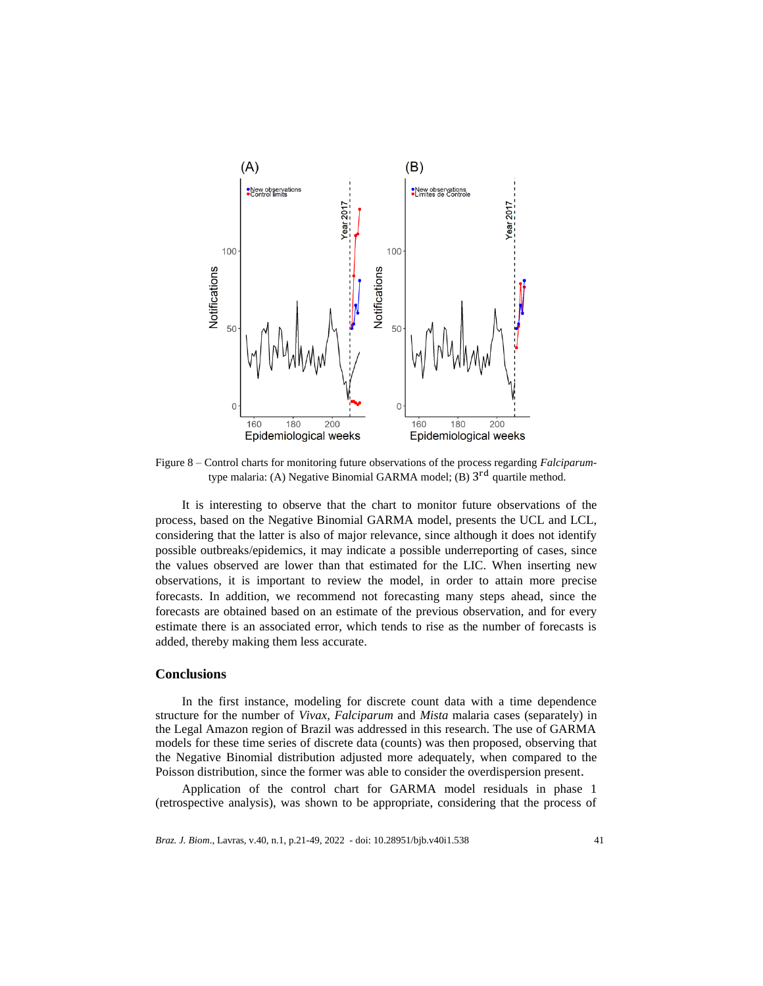

Figure 8 – Control charts for monitoring future observations of the process regarding *Falciparum*type malaria: (A) Negative Binomial GARMA model; (B) 3<sup>rd</sup> quartile method.

It is interesting to observe that the chart to monitor future observations of the process, based on the Negative Binomial GARMA model, presents the UCL and LCL, considering that the latter is also of major relevance, since although it does not identify possible outbreaks/epidemics, it may indicate a possible underreporting of cases, since the values observed are lower than that estimated for the LIC. When inserting new observations, it is important to review the model, in order to attain more precise forecasts. In addition, we recommend not forecasting many steps ahead, since the forecasts are obtained based on an estimate of the previous observation, and for every estimate there is an associated error, which tends to rise as the number of forecasts is added, thereby making them less accurate.

## **Conclusions**

In the first instance, modeling for discrete count data with a time dependence structure for the number of *Vivax, Falciparum* and *Mista* malaria cases (separately) in the Legal Amazon region of Brazil was addressed in this research. The use of GARMA models for these time series of discrete data (counts) was then proposed, observing that the Negative Binomial distribution adjusted more adequately, when compared to the Poisson distribution, since the former was able to consider the overdispersion present.

Application of the control chart for GARMA model residuals in phase 1 (retrospective analysis), was shown to be appropriate, considering that the process of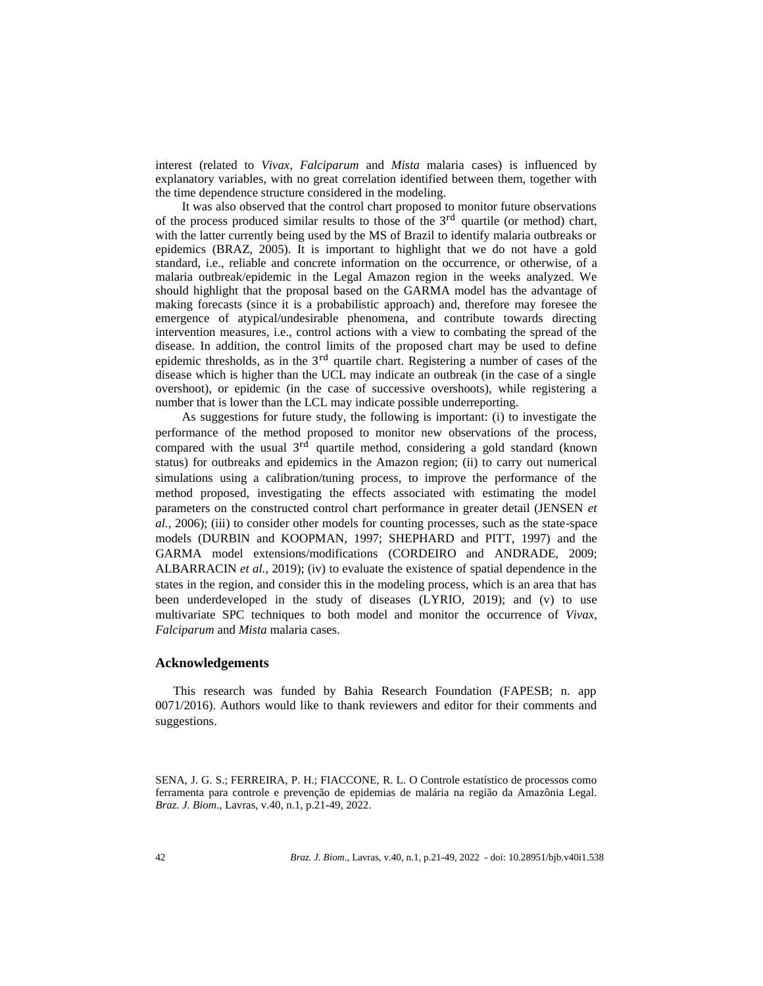interest (related to *Vivax*, *Falciparum* and *Mista* malaria cases) is influenced by explanatory variables, with no great correlation identified between them, together with the time dependence structure considered in the modeling.

It was also observed that the control chart proposed to monitor future observations of the process produced similar results to those of the  $3<sup>rd</sup>$  quartile (or method) chart, with the latter currently being used by the MS of Brazil to identify malaria outbreaks or epidemics (BRAZ, 2005). It is important to highlight that we do not have a gold standard, i.e., reliable and concrete information on the occurrence, or otherwise, of a malaria outbreak/epidemic in the Legal Amazon region in the weeks analyzed. We should highlight that the proposal based on the GARMA model has the advantage of making forecasts (since it is a probabilistic approach) and, therefore may foresee the emergence of atypical/undesirable phenomena, and contribute towards directing intervention measures, i.e., control actions with a view to combating the spread of the disease. In addition, the control limits of the proposed chart may be used to define epidemic thresholds, as in the  $3<sup>rd</sup>$  quartile chart. Registering a number of cases of the disease which is higher than the UCL may indicate an outbreak (in the case of a single overshoot), or epidemic (in the case of successive overshoots), while registering a number that is lower than the LCL may indicate possible underreporting.

As suggestions for future study, the following is important: (i) to investigate the performance of the method proposed to monitor new observations of the process, compared with the usual 3<sup>rd</sup> quartile method, considering a gold standard (known status) for outbreaks and epidemics in the Amazon region; (ii) to carry out numerical simulations using a calibration/tuning process, to improve the performance of the method proposed, investigating the effects associated with estimating the model parameters on the constructed control chart performance in greater detail (JENSEN *et al.*, 2006); (iii) to consider other models for counting processes, such as the state-space models (DURBIN and KOOPMAN, 1997; SHEPHARD and PITT, 1997) and the GARMA model extensions/modifications (CORDEIRO and ANDRADE, 2009; ALBARRACIN *et al.*, 2019); (iv) to evaluate the existence of spatial dependence in the states in the region, and consider this in the modeling process, which is an area that has been underdeveloped in the study of diseases (LYRIO, 2019); and (v) to use multivariate SPC techniques to both model and monitor the occurrence of *Vivax*, *Falciparum* and *Mista* malaria cases.

### **Acknowledgements**

This research was funded by Bahia Research Foundation (FAPESB; n. app 0071/2016). Authors would like to thank reviewers and editor for their comments and suggestions.

SENA, J. G. S.; FERREIRA, P. H.; FIACCONE, R. L. O Controle estatístico de processos como ferramenta para controle e prevenção de epidemias de malária na região da Amazônia Legal. *Braz. J. Biom*., Lavras, v.40, n.1, p.21-49, 2022.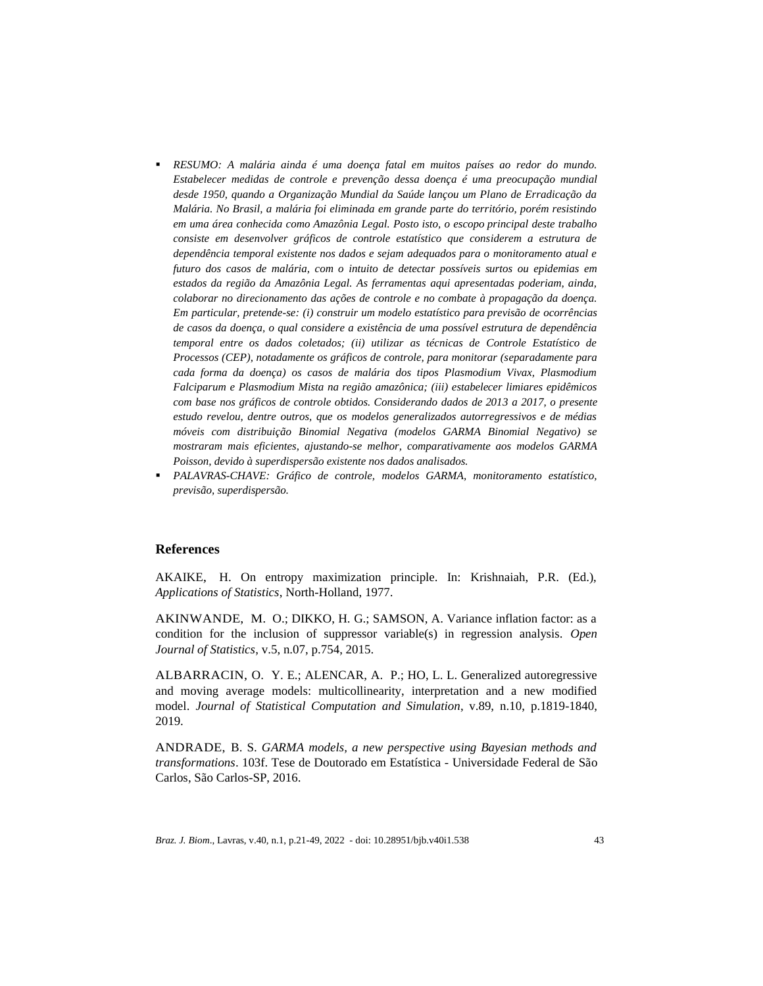- *RESUMO: A malária ainda é uma doença fatal em muitos países ao redor do mundo. Estabelecer medidas de controle e prevenção dessa doença é uma preocupação mundial desde 1950, quando a Organização Mundial da Saúde lançou um Plano de Erradicação da Malária. No Brasil, a malária foi eliminada em grande parte do território, porém resistindo em uma área conhecida como Amazônia Legal. Posto isto, o escopo principal deste trabalho consiste em desenvolver gráficos de controle estatístico que considerem a estrutura de dependência temporal existente nos dados e sejam adequados para o monitoramento atual e futuro dos casos de malária, com o intuito de detectar possíveis surtos ou epidemias em estados da região da Amazônia Legal. As ferramentas aqui apresentadas poderiam, ainda, colaborar no direcionamento das ações de controle e no combate à propagação da doença. Em particular, pretende-se: (i) construir um modelo estatístico para previsão de ocorrências de casos da doença, o qual considere a existência de uma possível estrutura de dependência temporal entre os dados coletados; (ii) utilizar as técnicas de Controle Estatístico de Processos (CEP), notadamente os gráficos de controle, para monitorar (separadamente para cada forma da doença) os casos de malária dos tipos Plasmodium Vivax, Plasmodium Falciparum e Plasmodium Mista na região amazônica; (iii) estabelecer limiares epidêmicos com base nos gráficos de controle obtidos. Considerando dados de 2013 a 2017, o presente estudo revelou, dentre outros, que os modelos generalizados autorregressivos e de médias móveis com distribuição Binomial Negativa (modelos GARMA Binomial Negativo) se mostraram mais eficientes, ajustando-se melhor, comparativamente aos modelos GARMA Poisson, devido à superdispersão existente nos dados analisados.*
- *PALAVRAS-CHAVE: Gráfico de controle, modelos GARMA, monitoramento estatístico, previsão, superdispersão.*

#### **References**

AKAIKE, H. On entropy maximization principle. In: Krishnaiah, P.R. (Ed.), *Applications of Statistics*, North-Holland, 1977.

AKINWANDE, M. O.; DIKKO, H. G.; SAMSON, A. Variance inflation factor: as a condition for the inclusion of suppressor variable(s) in regression analysis. *Open Journal of Statistics*, v.5, n.07, p.754, 2015.

ALBARRACIN, O. Y. E.; ALENCAR, A. P.; HO, L. L. Generalized autoregressive and moving average models: multicollinearity, interpretation and a new modified model. *Journal of Statistical Computation and Simulation*, v.89, n.10, p.1819-1840, 2019.

ANDRADE, B. S. *GARMA models, a new perspective using Bayesian methods and transformations*. 103f. Tese de Doutorado em Estatística - Universidade Federal de São Carlos, São Carlos-SP, 2016.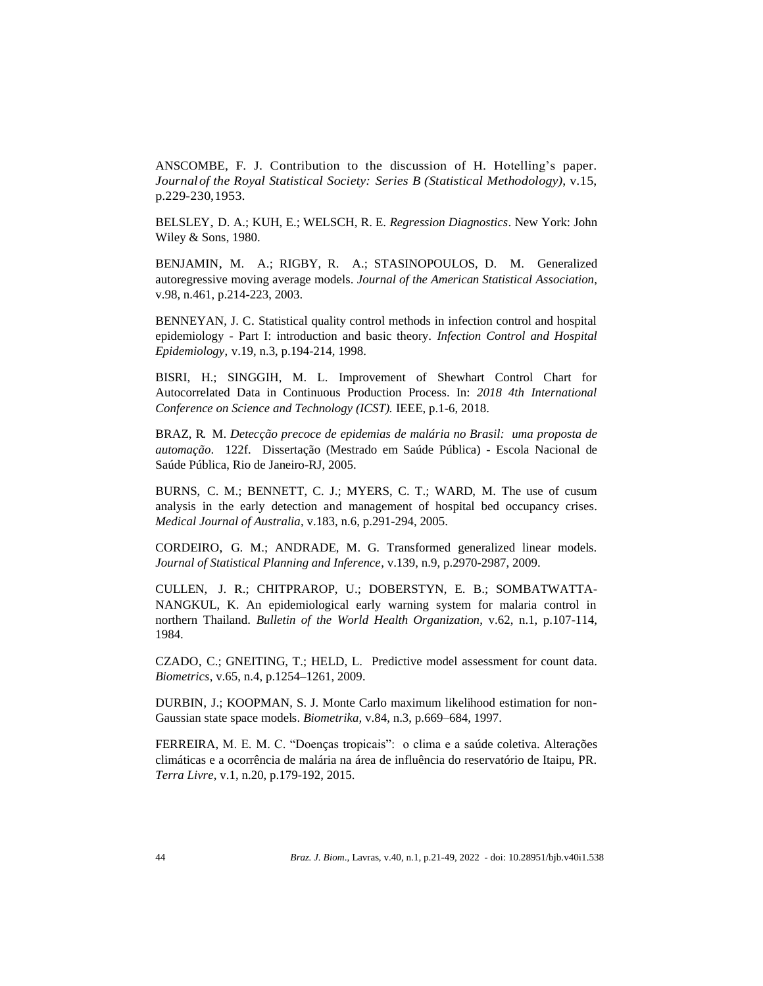ANSCOMBE, F. J. Contribution to the discussion of H. Hotelling's paper. *Journal of the Royal Statistical Society: Series B (Statistical Methodology)*, v.15, p.229-230,1953.

BELSLEY, D. A.; KUH, E.; WELSCH, R. E. *Regression Diagnostics*. New York: John Wiley & Sons, 1980.

BENJAMIN, M. A.; RIGBY, R. A.; STASINOPOULOS, D. M. Generalized autoregressive moving average models. *Journal of the American Statistical Association*, v.98, n.461, p.214-223, 2003.

BENNEYAN, J. C. Statistical quality control methods in infection control and hospital epidemiology - Part I: introduction and basic theory. *Infection Control and Hospital Epidemiology*, v.19, n.3, p.194-214, 1998.

BISRI, H.; SINGGIH, M. L. Improvement of Shewhart Control Chart for Autocorrelated Data in Continuous Production Process. In: *2018 4th International Conference on Science and Technology (ICST).* IEEE, p.1-6, 2018.

BRAZ, R. M. *Detecção precoce de epidemias de malária no Brasil: uma proposta de automação*. 122f. Dissertação (Mestrado em Saúde Pública) - Escola Nacional de Saúde Pública, Rio de Janeiro-RJ, 2005.

BURNS, C. M.; BENNETT, C. J.; MYERS, C. T.; WARD, M. The use of cusum analysis in the early detection and management of hospital bed occupancy crises. *Medical Journal of Australia*, v.183, n.6, p.291-294, 2005.

CORDEIRO, G. M.; ANDRADE, M. G. Transformed generalized linear models. *Journal of Statistical Planning and Inference*, v.139, n.9, p.2970-2987, 2009.

CULLEN, J. R.; CHITPRAROP, U.; DOBERSTYN, E. B.; SOMBATWATTA-NANGKUL, K. An epidemiological early warning system for malaria control in northern Thailand. *Bulletin of the World Health Organization*, v.62, n.1, p.107-114, 1984.

CZADO, C.; GNEITING, T.; HELD, L. Predictive model assessment for count data. *Biometrics*, v.65, n.4, p.1254–1261, 2009.

DURBIN, J.; KOOPMAN, S. J. Monte Carlo maximum likelihood estimation for non-Gaussian state space models. *Biometrika,* v.84, n.3, p.669–684, 1997.

FERREIRA, M. E. M. C. "Doenças tropicais": o clima e a saúde coletiva. Alterações climáticas e a ocorrência de malária na área de influência do reservatório de Itaipu, PR. *Terra Livre*, v.1, n.20, p.179-192, 2015.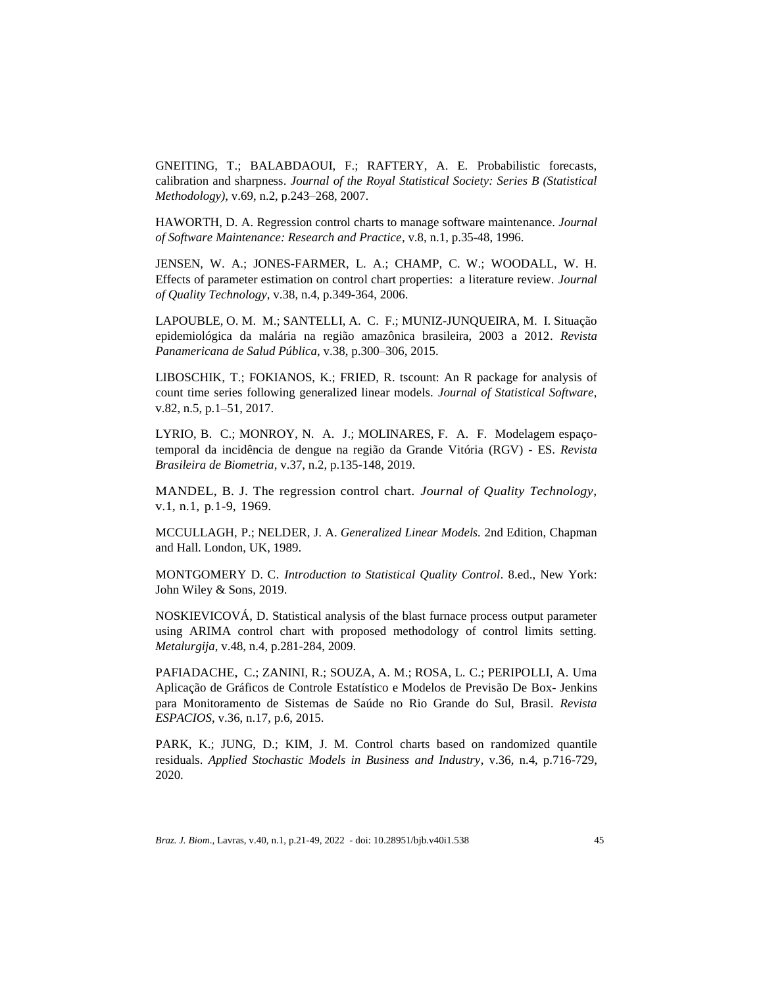GNEITING, T.; BALABDAOUI, F.; RAFTERY, A. E. Probabilistic forecasts, calibration and sharpness. *Journal of the Royal Statistical Society: Series B (Statistical Methodology)*, v.69, n.2, p.243–268, 2007.

HAWORTH, D. A. Regression control charts to manage software maintenance. *Journal of Software Maintenance: Research and Practice*, v.8, n.1, p.35-48, 1996.

JENSEN, W. A.; JONES-FARMER, L. A.; CHAMP, C. W.; WOODALL, W. H. Effects of parameter estimation on control chart properties: a literature review. *Journal of Quality Technology*, v.38, n.4, p.349-364, 2006.

LAPOUBLE, O. M. M.; SANTELLI, A. C. F.; MUNIZ-JUNQUEIRA, M. I. Situação epidemiológica da malária na região amazônica brasileira, 2003 a 2012. *Revista Panamericana de Salud Pública*, v.38, p.300–306, 2015.

LIBOSCHIK, T.; FOKIANOS, K.; FRIED, R. tscount: An R package for analysis of count time series following generalized linear models. *Journal of Statistical Software*, v.82, n.5, p.1–51, 2017.

LYRIO, B. C.; MONROY, N. A. J.; MOLINARES, F. A. F. Modelagem espaçotemporal da incidência de dengue na região da Grande Vitória (RGV) - ES. *Revista Brasileira de Biometria*, v.37, n.2, p.135-148, 2019.

MANDEL, B. J. The regression control chart. *Journal of Quality Technology*, v.1, n.1, p.1-9, 1969.

MCCULLAGH, P.; NELDER, J. A. *Generalized Linear Models.* 2nd Edition, Chapman and Hall. London, UK, 1989.

MONTGOMERY D. C. *Introduction to Statistical Quality Control*. 8.ed., New York: John Wiley & Sons, 2019.

NOSKIEVICOVÁ, D. Statistical analysis of the blast furnace process output parameter using ARIMA control chart with proposed methodology of control limits setting. *Metalurgija*, v.48, n.4, p.281-284, 2009.

PAFIADACHE, C.; ZANINI, R.; SOUZA, A. M.; ROSA, L. C.; PERIPOLLI, A. Uma Aplicação de Gráficos de Controle Estatístico e Modelos de Previsão De Box- Jenkins para Monitoramento de Sistemas de Saúde no Rio Grande do Sul, Brasil*. Revista ESPACIOS*, v.36, n.17, p.6, 2015.

PARK, K.; JUNG, D.; KIM, J. M. Control charts based on randomized quantile residuals. *Applied Stochastic Models in Business and Industry*, v.36, n.4, p.716-729, 2020.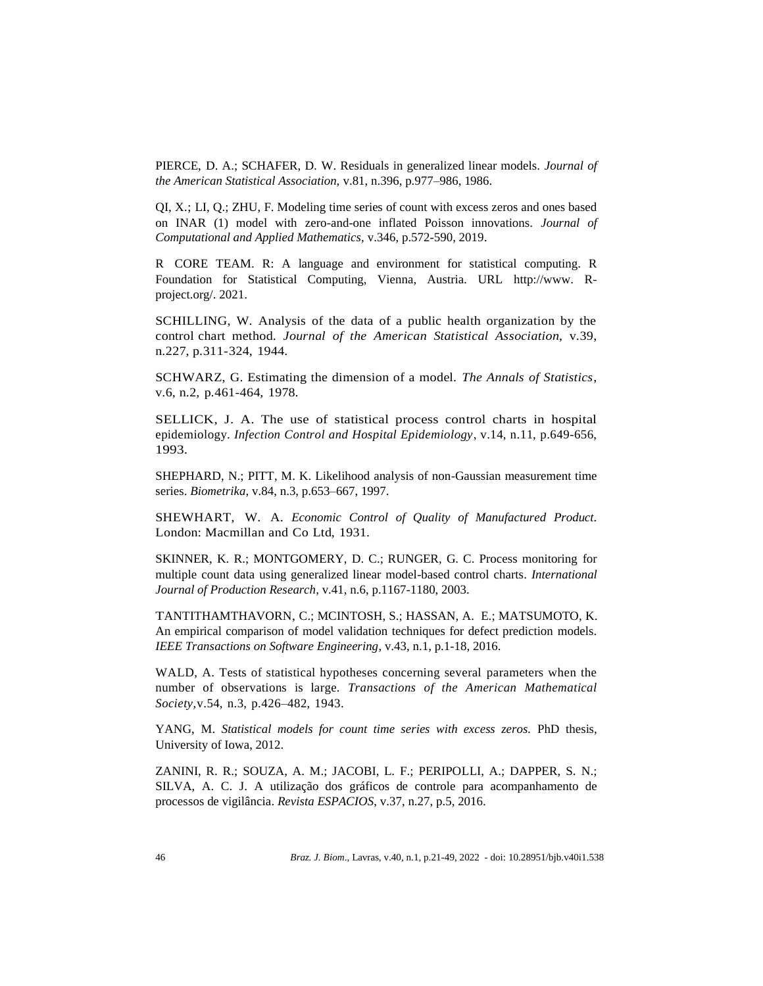PIERCE, D. A.; SCHAFER, D. W. Residuals in generalized linear models. *Journal of the American Statistical Association,* v.81, n.396, p.977–986, 1986.

QI, X.; LI, Q.; ZHU, F. Modeling time series of count with excess zeros and ones based on INAR (1) model with zero-and-one inflated Poisson innovations. *Journal of Computational and Applied Mathematics,* v.346, p.572-590, 2019.

R CORE TEAM. R: A language and environment for statistical computing. R Foundation for Statistical Computing, Vienna, Austria. URL [http://www.](http://www/) Rproject.org/. 2021.

SCHILLING, W. Analysis of the data of a public health organization by the control chart method. *Journal of the American Statistical Association*, v.39, n.227, p.311-324, 1944.

SCHWARZ, G. Estimating the dimension of a model. *The Annals of Statistics*, v.6, n.2, p.461-464, 1978.

SELLICK, J. A. The use of statistical process control charts in hospital epidemiology. *Infection Control and Hospital Epidemiology*, v.14, n.11, p.649-656, 1993.

SHEPHARD, N.; PITT, M. K. Likelihood analysis of non-Gaussian measurement time series. *Biometrika*, v.84, n.3, p.653–667, 1997.

SHEWHART, W. A. *Economic Control of Quality of Manufactured Product.* London: Macmillan and Co Ltd, 1931.

SKINNER, K. R.; MONTGOMERY, D. C.; RUNGER, G. C. Process monitoring for multiple count data using generalized linear model-based control charts. *International Journal of Production Research*, v.41, n.6, p.1167-1180, 2003.

TANTITHAMTHAVORN, C.; MCINTOSH, S.; HASSAN, A. E.; MATSUMOTO, K. An empirical comparison of model validation techniques for defect prediction models. *IEEE Transactions on Software Engineering*, v.43, n.1, p.1-18, 2016.

WALD, A. Tests of statistical hypotheses concerning several parameters when the number of observations is large. *Transactions of the American Mathematical Society*,v.54, n.3, p.426–482, 1943.

YANG, M. *Statistical models for count time series with excess zeros.* PhD thesis, University of Iowa, 2012.

ZANINI, R. R.; SOUZA, A. M.; JACOBI, L. F.; PERIPOLLI, A.; DAPPER, S. N.; SILVA, A. C. J. A utilização dos gráficos de controle para acompanhamento de processos de vigilância. *Revista ESPACIOS*, v.37, n.27, p.5, 2016.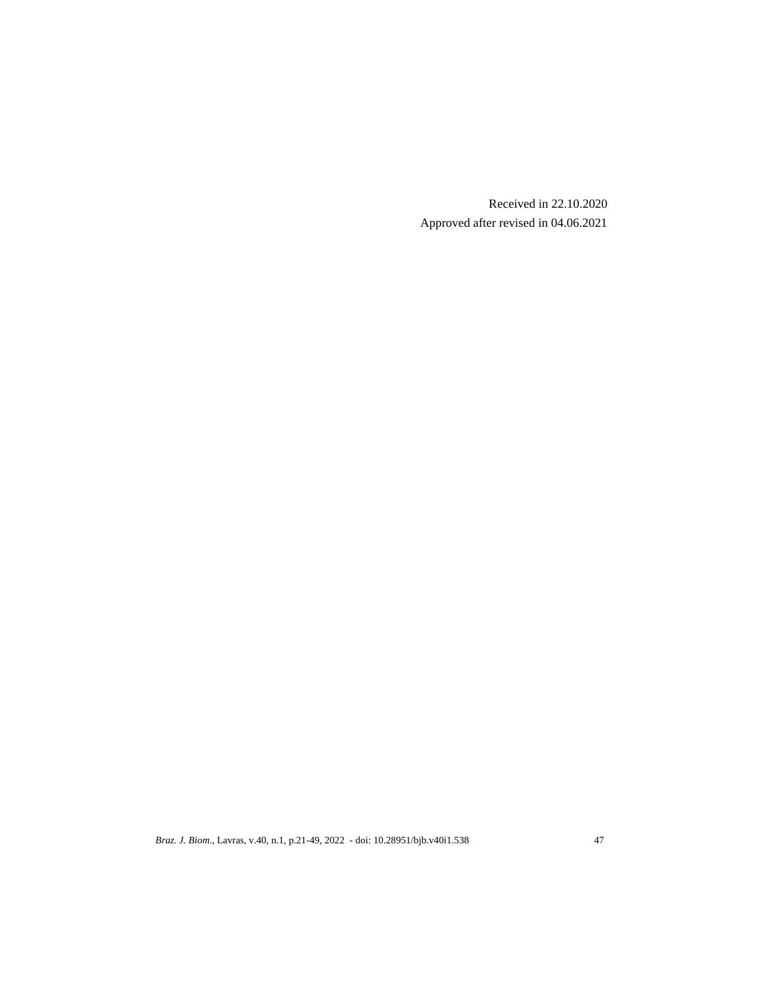Received in 22.10.2020 Approved after revised in 04.06.2021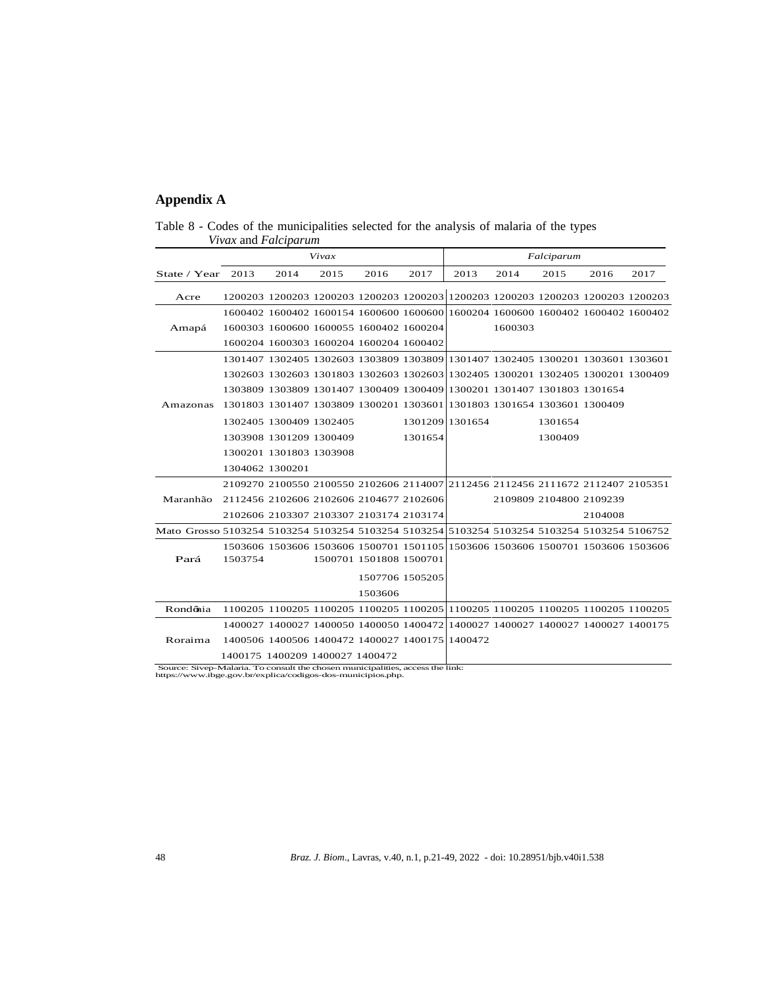# **Appendix A**

| Table 8 - Codes of the municipalities selected for the analysis of malaria of the types |  |  |  |
|-----------------------------------------------------------------------------------------|--|--|--|
| <i>Vivax</i> and <i>Falciparum</i>                                                      |  |  |  |

|                                                                                             |                                                                                    |                         | Vivax                                           |                         | Falciparum      |                                                                                 |         |                         |         |      |
|---------------------------------------------------------------------------------------------|------------------------------------------------------------------------------------|-------------------------|-------------------------------------------------|-------------------------|-----------------|---------------------------------------------------------------------------------|---------|-------------------------|---------|------|
| State / Year                                                                                | 2013                                                                               | 2014                    | 2015                                            | 2016                    | 2017            | 2013                                                                            | 2014    | 2015                    | 2016    | 2017 |
| Acre                                                                                        |                                                                                    |                         |                                                 |                         |                 | 1200203 1200203 1200203 1200203 1200203 1200203 1200203 1200203 1200203 1200203 |         |                         |         |      |
|                                                                                             |                                                                                    |                         |                                                 |                         |                 | 1600402 1600402 1600154 1600600 1600600 1600204 1600600 1600402 1600402 1600402 |         |                         |         |      |
| Amapá                                                                                       |                                                                                    |                         | 1600303 1600600 1600055 1600402 1600204         |                         |                 |                                                                                 | 1600303 |                         |         |      |
|                                                                                             |                                                                                    |                         | 1600204 1600303 1600204 1600204 1600402         |                         |                 |                                                                                 |         |                         |         |      |
|                                                                                             |                                                                                    |                         |                                                 |                         |                 | 1301407 1302405 1302603 1303809 1303809 1301407 1302405 1300201 1303601 1303601 |         |                         |         |      |
|                                                                                             |                                                                                    |                         |                                                 |                         |                 | 1302603 1302603 1301803 1302603 1302603 1302405 1300201 1302405 1300201 1300409 |         |                         |         |      |
|                                                                                             |                                                                                    |                         |                                                 |                         |                 | 1303809 1303809 1301407 1300409 1300409 1300201 1301407 1301803 1301654         |         |                         |         |      |
| Amazonas                                                                                    | 1301803 1301407 1303809 1300201 1303601 1301803 1301654 1303601 1300409            |                         |                                                 |                         |                 |                                                                                 |         |                         |         |      |
|                                                                                             |                                                                                    |                         | 1302405 1300409 1302405                         |                         |                 | 1301209 1301654                                                                 |         | 1301654                 |         |      |
|                                                                                             |                                                                                    |                         | 1303908 1301209 1300409                         |                         | 1301654         |                                                                                 |         | 1300409                 |         |      |
|                                                                                             |                                                                                    | 1300201 1301803 1303908 |                                                 |                         |                 |                                                                                 |         |                         |         |      |
|                                                                                             | 1304062 1300201                                                                    |                         |                                                 |                         |                 |                                                                                 |         |                         |         |      |
|                                                                                             |                                                                                    |                         |                                                 |                         |                 | 2109270 2100550 2100550 2102606 2114007 2112456 2112456 2111672 2112407 2105351 |         |                         |         |      |
| Maranhão                                                                                    | 2112456 2102606 2102606 2104677 2102606                                            |                         |                                                 |                         |                 |                                                                                 |         | 2109809 2104800 2109239 |         |      |
|                                                                                             |                                                                                    |                         | 2102606 2103307 2103307 2103174 2103174         |                         |                 |                                                                                 |         |                         | 2104008 |      |
| Mato Grosso 5103254 5103254 5103254 5103254 5103254 5103254 5103254 5103254 5103254 5106752 |                                                                                    |                         |                                                 |                         |                 |                                                                                 |         |                         |         |      |
|                                                                                             |                                                                                    |                         |                                                 |                         |                 | 1503606 1503606 1503606 1500701 1501105 1503606 1503606 1500701 1503606 1503606 |         |                         |         |      |
| Pará                                                                                        | 1503754                                                                            |                         |                                                 | 1500701 1501808 1500701 |                 |                                                                                 |         |                         |         |      |
|                                                                                             |                                                                                    |                         |                                                 |                         | 1507706 1505205 |                                                                                 |         |                         |         |      |
|                                                                                             |                                                                                    |                         |                                                 | 1503606                 |                 |                                                                                 |         |                         |         |      |
| Rondônia                                                                                    |                                                                                    |                         |                                                 |                         |                 | 1100205 1100205 1100205 1100205 1100205 1100205 1100205 1100205 1100205 1100205 |         |                         |         |      |
|                                                                                             |                                                                                    |                         |                                                 |                         |                 | 1400027 1400027 1400050 1400050 1400472 1400027 1400027 1400027 1400027 1400175 |         |                         |         |      |
| Roraima                                                                                     |                                                                                    |                         | 1400506 1400506 1400472 1400027 1400175 1400472 |                         |                 |                                                                                 |         |                         |         |      |
|                                                                                             | 1400175 1400209 1400027 1400472                                                    |                         |                                                 |                         |                 |                                                                                 |         |                         |         |      |
|                                                                                             | A distant of The processed the place on a control standard on processes that the b |                         |                                                 |                         |                 |                                                                                 |         |                         |         |      |

Source: Sivep-Malaria. To consult the chosen municipalities, access the link: https://www.ibge.gov.br/explica/codigos-dos-municipios.php.